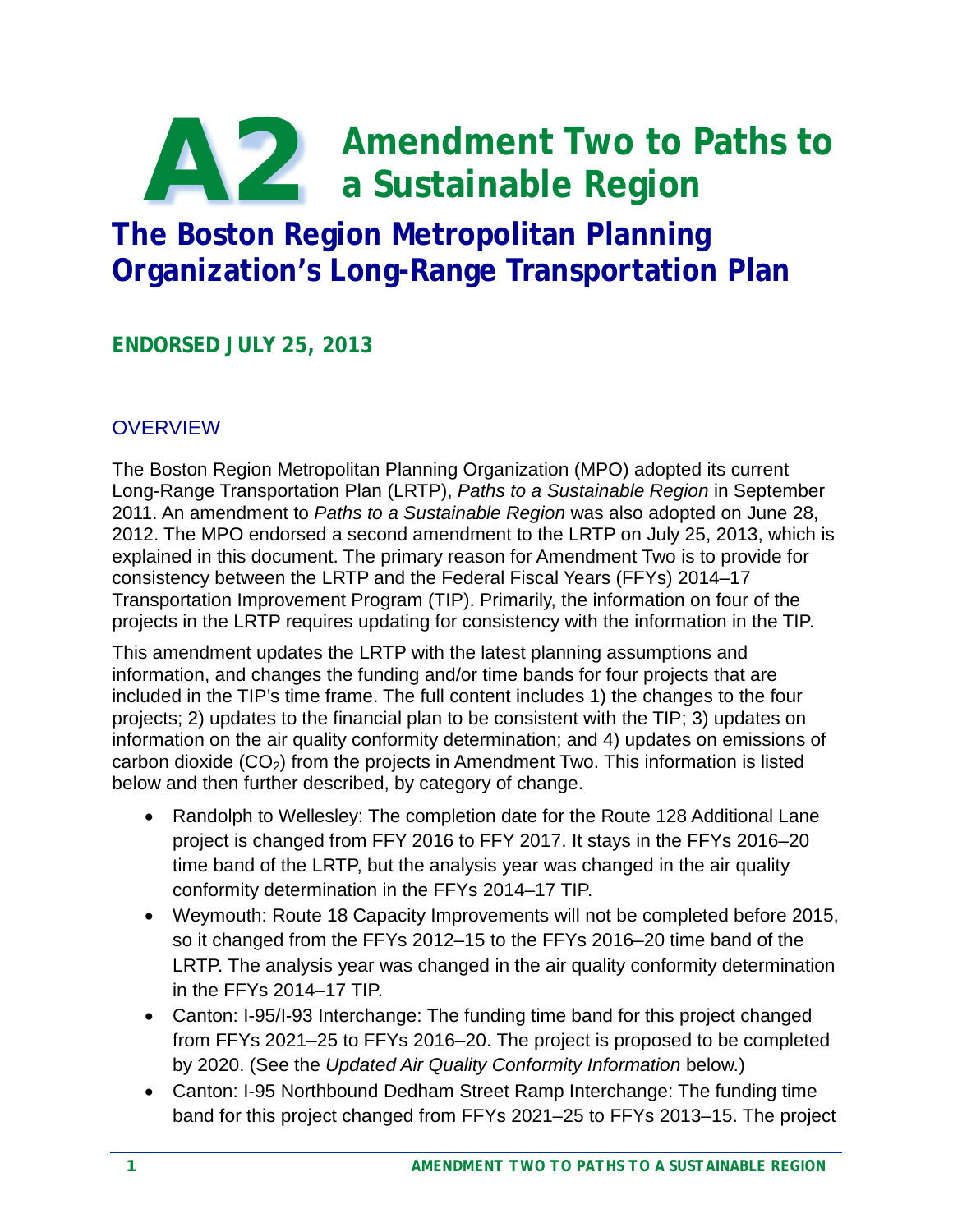# **Amendment Two to Paths to a Sustainable Region** A2

# **The Boston Region Metropolitan Planning Organization's Long-Range Transportation Plan**

**ENDORSED JULY 25, 2013**

### **OVERVIEW**

The Boston Region Metropolitan Planning Organization (MPO) adopted its current Long-Range Transportation Plan (LRTP), *Paths to a Sustainable Region* in September 2011. An amendment to *Paths to a Sustainable Region* was also adopted on June 28, 2012. The MPO endorsed a second amendment to the LRTP on July 25, 2013, which is explained in this document. The primary reason for Amendment Two is to provide for consistency between the LRTP and the Federal Fiscal Years (FFYs) 2014–17 Transportation Improvement Program (TIP). Primarily, the information on four of the projects in the LRTP requires updating for consistency with the information in the TIP.

This amendment updates the LRTP with the latest planning assumptions and information, and changes the funding and/or time bands for four projects that are included in the TIP's time frame. The full content includes 1) the changes to the four projects; 2) updates to the financial plan to be consistent with the TIP; 3) updates on information on the air quality conformity determination; and 4) updates on emissions of carbon dioxide  $(CO<sub>2</sub>)$  from the projects in Amendment Two. This information is listed below and then further described, by category of change.

- Randolph to Wellesley: The completion date for the Route 128 Additional Lane project is changed from FFY 2016 to FFY 2017. It stays in the FFYs 2016–20 time band of the LRTP, but the analysis year was changed in the air quality conformity determination in the FFYs 2014–17 TIP.
- Weymouth: Route 18 Capacity Improvements will not be completed before 2015, so it changed from the FFYs 2012–15 to the FFYs 2016–20 time band of the LRTP. The analysis year was changed in the air quality conformity determination in the FFYs 2014–17 TIP.
- Canton: I-95/I-93 Interchange: The funding time band for this project changed from FFYs 2021–25 to FFYs 2016–20. The project is proposed to be completed by 2020. (See the *Updated Air Quality Conformity Information* below.)
- Canton: I-95 Northbound Dedham Street Ramp Interchange: The funding time band for this project changed from FFYs 2021–25 to FFYs 2013–15. The project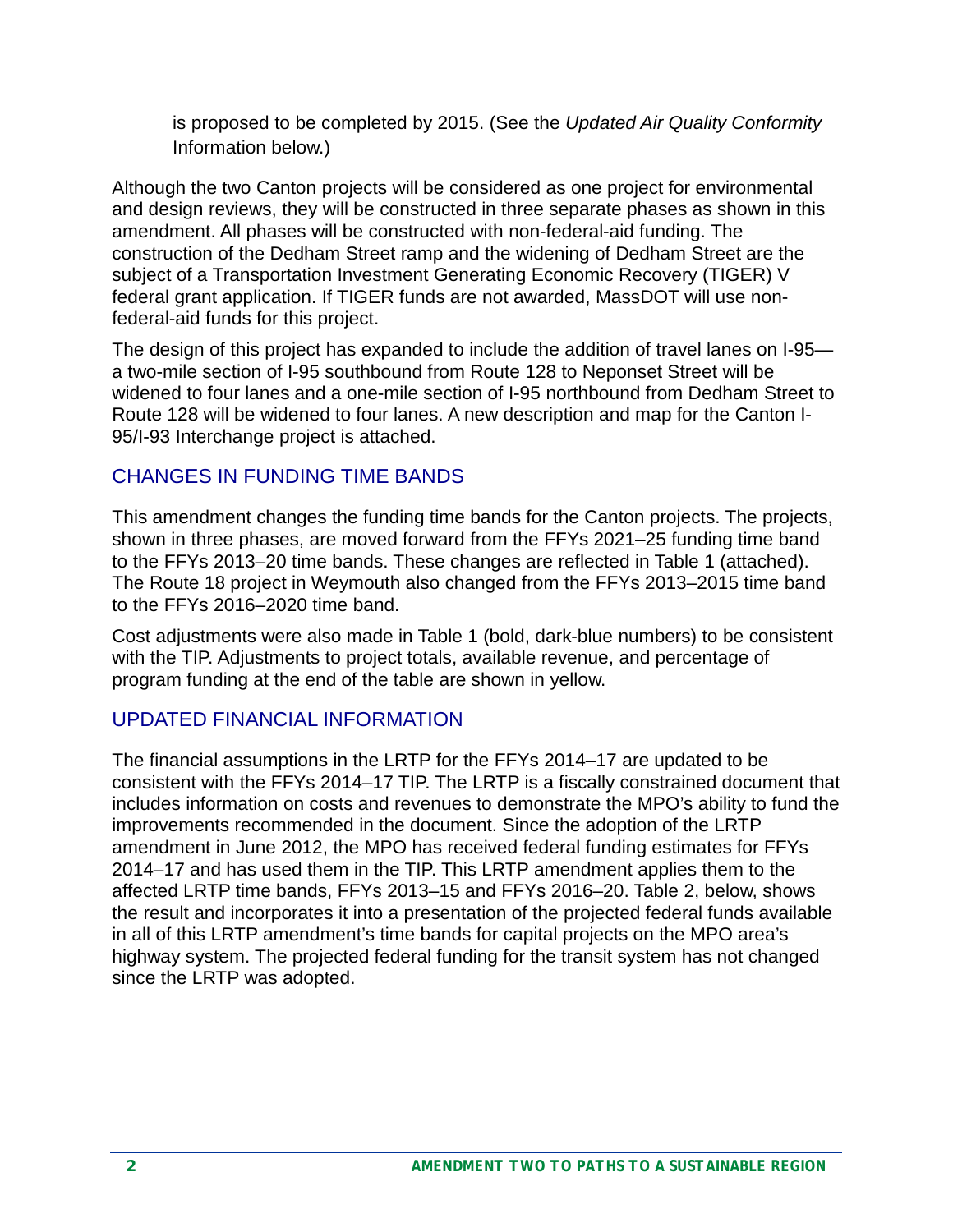is proposed to be completed by 2015. (See the *Updated Air Quality Conformity* Information below.)

Although the two Canton projects will be considered as one project for environmental and design reviews, they will be constructed in three separate phases as shown in this amendment. All phases will be constructed with non-federal-aid funding. The construction of the Dedham Street ramp and the widening of Dedham Street are the subject of a Transportation Investment Generating Economic Recovery (TIGER) V federal grant application. If TIGER funds are not awarded, MassDOT will use nonfederal-aid funds for this project.

The design of this project has expanded to include the addition of travel lanes on I-95 a two-mile section of I-95 southbound from Route 128 to Neponset Street will be widened to four lanes and a one-mile section of I-95 northbound from Dedham Street to Route 128 will be widened to four lanes. A new description and map for the Canton I-95/I-93 Interchange project is attached.

### CHANGES IN FUNDING TIME BANDS

This amendment changes the funding time bands for the Canton projects. The projects, shown in three phases, are moved forward from the FFYs 2021–25 funding time band to the FFYs 2013–20 time bands. These changes are reflected in Table 1 (attached). The Route 18 project in Weymouth also changed from the FFYs 2013–2015 time band to the FFYs 2016–2020 time band.

Cost adjustments were also made in Table 1 (bold, dark-blue numbers) to be consistent with the TIP. Adjustments to project totals, available revenue, and percentage of program funding at the end of the table are shown in yellow.

#### UPDATED FINANCIAL INFORMATION

The financial assumptions in the LRTP for the FFYs 2014–17 are updated to be consistent with the FFYs 2014–17 TIP. The LRTP is a fiscally constrained document that includes information on costs and revenues to demonstrate the MPO's ability to fund the improvements recommended in the document. Since the adoption of the LRTP amendment in June 2012, the MPO has received federal funding estimates for FFYs 2014–17 and has used them in the TIP. This LRTP amendment applies them to the affected LRTP time bands, FFYs 2013–15 and FFYs 2016–20. Table 2, below, shows the result and incorporates it into a presentation of the projected federal funds available in all of this LRTP amendment's time bands for capital projects on the MPO area's highway system. The projected federal funding for the transit system has not changed since the LRTP was adopted.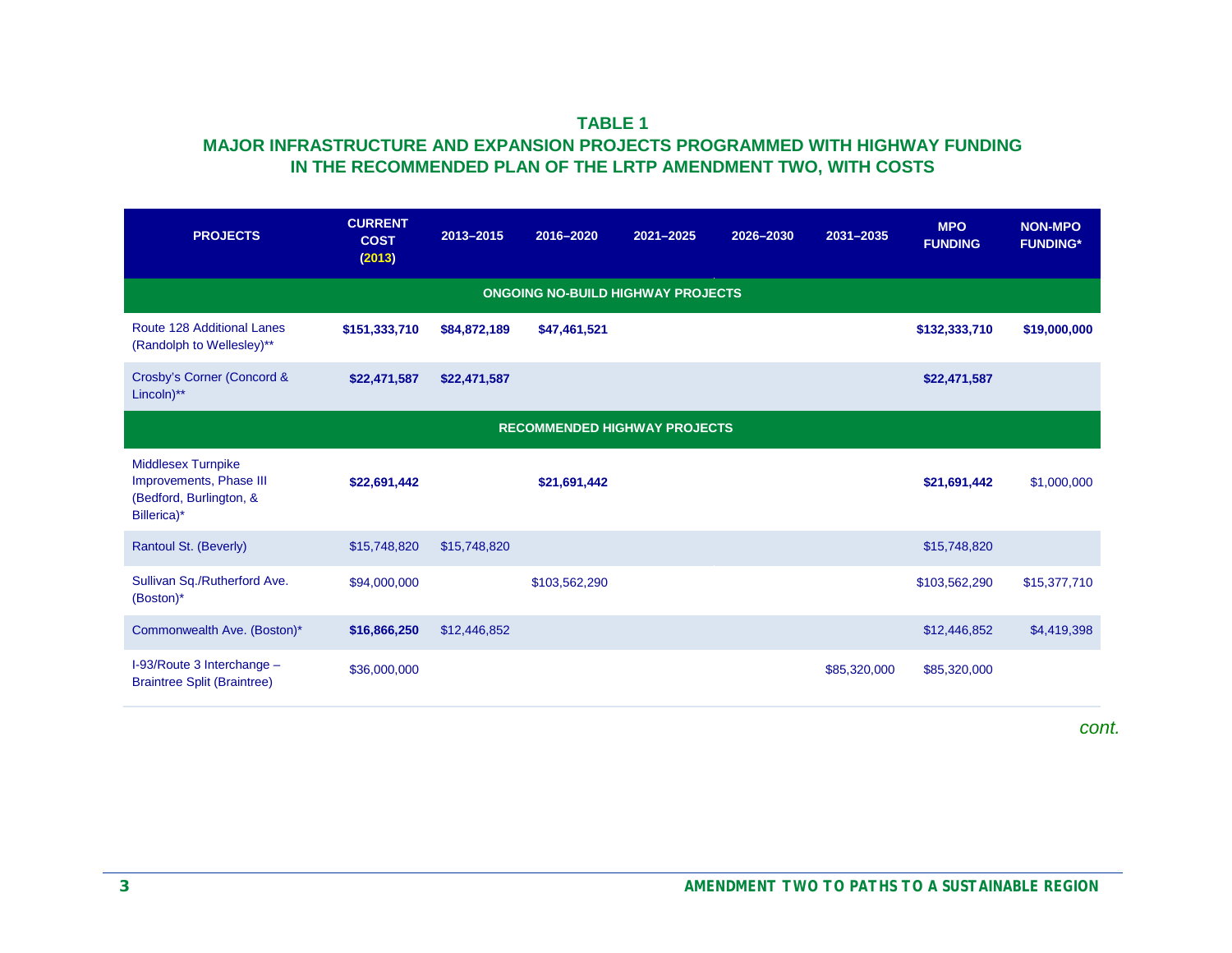#### **TABLE 1 MAJOR INFRASTRUCTURE AND EXPANSION PROJECTS PROGRAMMED WITH HIGHWAY FUNDING IN THE RECOMMENDED PLAN OF THE LRTP AMENDMENT TWO, WITH COSTS**

| <b>PROJECTS</b>                                                                                | <b>CURRENT</b><br><b>COST</b><br>(2013) | 2013-2015    | 2016-2020                                | 2021-2025 | 2026-2030 | 2031-2035    | <b>MPO</b><br><b>FUNDING</b> | <b>NON-MPO</b><br><b>FUNDING*</b> |
|------------------------------------------------------------------------------------------------|-----------------------------------------|--------------|------------------------------------------|-----------|-----------|--------------|------------------------------|-----------------------------------|
|                                                                                                |                                         |              | <b>ONGOING NO-BUILD HIGHWAY PROJECTS</b> |           |           |              |                              |                                   |
| Route 128 Additional Lanes<br>(Randolph to Wellesley)**                                        | \$151,333,710                           | \$84,872,189 | \$47,461,521                             |           |           |              | \$132,333,710                | \$19,000,000                      |
| Crosby's Corner (Concord &<br>Lincoln)**                                                       | \$22,471,587                            | \$22,471,587 |                                          |           |           |              | \$22,471,587                 |                                   |
|                                                                                                |                                         |              | <b>RECOMMENDED HIGHWAY PROJECTS</b>      |           |           |              |                              |                                   |
| <b>Middlesex Turnpike</b><br>Improvements, Phase III<br>(Bedford, Burlington, &<br>Billerica)* | \$22,691,442                            |              | \$21,691,442                             |           |           |              | \$21,691,442                 | \$1,000,000                       |
| Rantoul St. (Beverly)                                                                          | \$15,748,820                            | \$15,748,820 |                                          |           |           |              | \$15,748,820                 |                                   |
| Sullivan Sq./Rutherford Ave.<br>(Boston)*                                                      | \$94,000,000                            |              | \$103,562,290                            |           |           |              | \$103,562,290                | \$15,377,710                      |
| Commonwealth Ave. (Boston)*                                                                    | \$16,866,250                            | \$12,446,852 |                                          |           |           |              | \$12,446,852                 | \$4,419,398                       |
| I-93/Route 3 Interchange -<br><b>Braintree Split (Braintree)</b>                               | \$36,000,000                            |              |                                          |           |           | \$85,320,000 | \$85,320,000                 |                                   |

*cont.*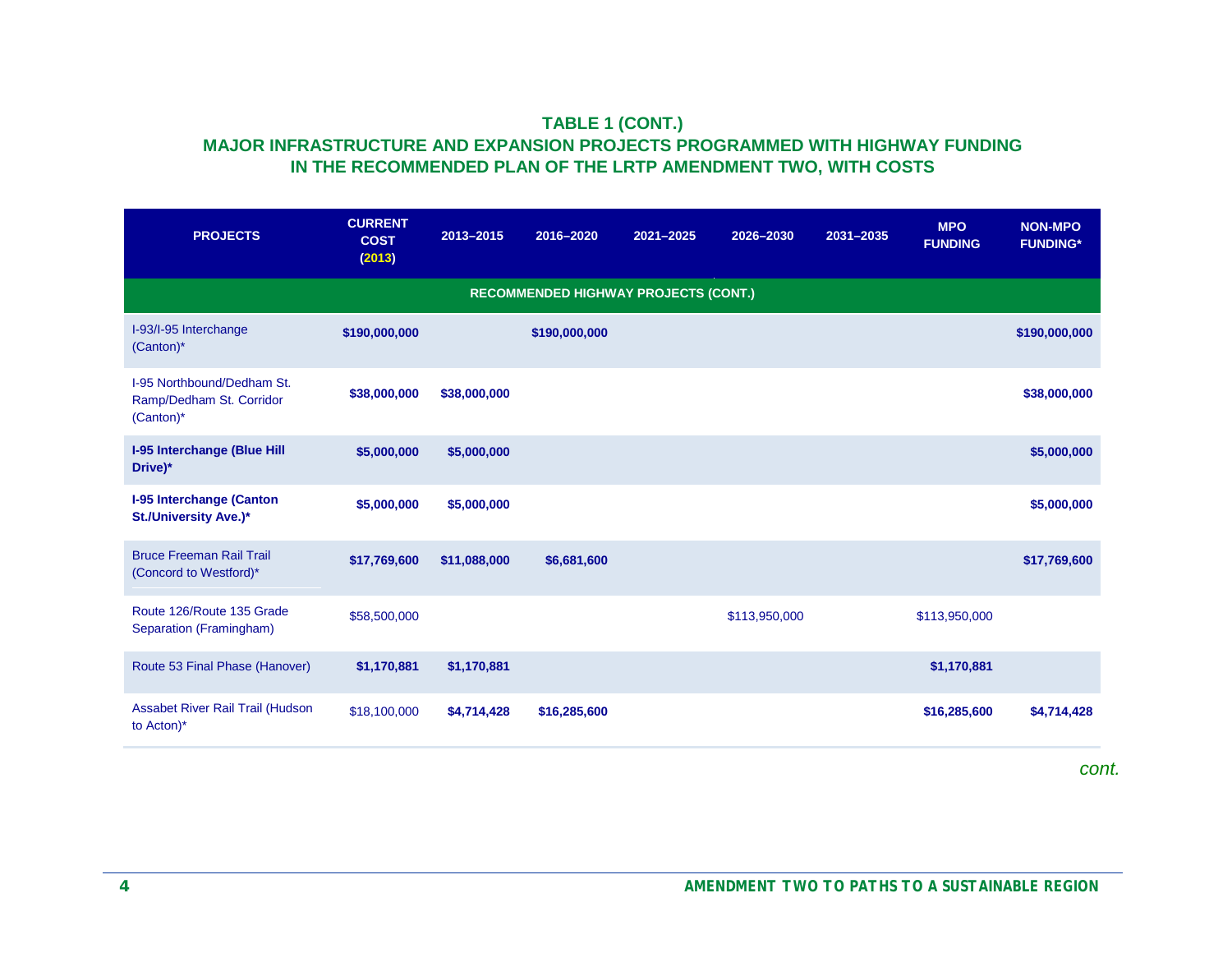#### **TABLE 1 (CONT.) MAJOR INFRASTRUCTURE AND EXPANSION PROJECTS PROGRAMMED WITH HIGHWAY FUNDING IN THE RECOMMENDED PLAN OF THE LRTP AMENDMENT TWO, WITH COSTS**

| <b>PROJECTS</b>                                                     | <b>CURRENT</b><br><b>COST</b><br>(2013) | 2013-2015    | 2016-2020                                   | 2021-2025 | 2026-2030     | 2031-2035 | <b>MPO</b><br><b>FUNDING</b> | <b>NON-MPO</b><br><b>FUNDING*</b> |
|---------------------------------------------------------------------|-----------------------------------------|--------------|---------------------------------------------|-----------|---------------|-----------|------------------------------|-----------------------------------|
|                                                                     |                                         |              | <b>RECOMMENDED HIGHWAY PROJECTS (CONT.)</b> |           |               |           |                              |                                   |
| I-93/I-95 Interchange<br>$(Canton)*$                                | \$190,000,000                           |              | \$190,000,000                               |           |               |           |                              | \$190,000,000                     |
| I-95 Northbound/Dedham St.<br>Ramp/Dedham St. Corridor<br>(Canton)* | \$38,000,000                            | \$38,000,000 |                                             |           |               |           |                              | \$38,000,000                      |
| <b>I-95 Interchange (Blue Hill</b><br>Drive)*                       | \$5,000,000                             | \$5,000,000  |                                             |           |               |           |                              | \$5,000,000                       |
| <b>I-95 Interchange (Canton</b><br>St./University Ave.)*            | \$5,000,000                             | \$5,000,000  |                                             |           |               |           |                              | \$5,000,000                       |
| <b>Bruce Freeman Rail Trail</b><br>(Concord to Westford)*           | \$17,769,600                            | \$11,088,000 | \$6,681,600                                 |           |               |           |                              | \$17,769,600                      |
| Route 126/Route 135 Grade<br>Separation (Framingham)                | \$58,500,000                            |              |                                             |           | \$113,950,000 |           | \$113,950,000                |                                   |
| Route 53 Final Phase (Hanover)                                      | \$1,170,881                             | \$1,170,881  |                                             |           |               |           | \$1,170,881                  |                                   |
| Assabet River Rail Trail (Hudson<br>to Acton)*                      | \$18,100,000                            | \$4,714,428  | \$16,285,600                                |           |               |           | \$16,285,600                 | \$4,714,428                       |

*cont.*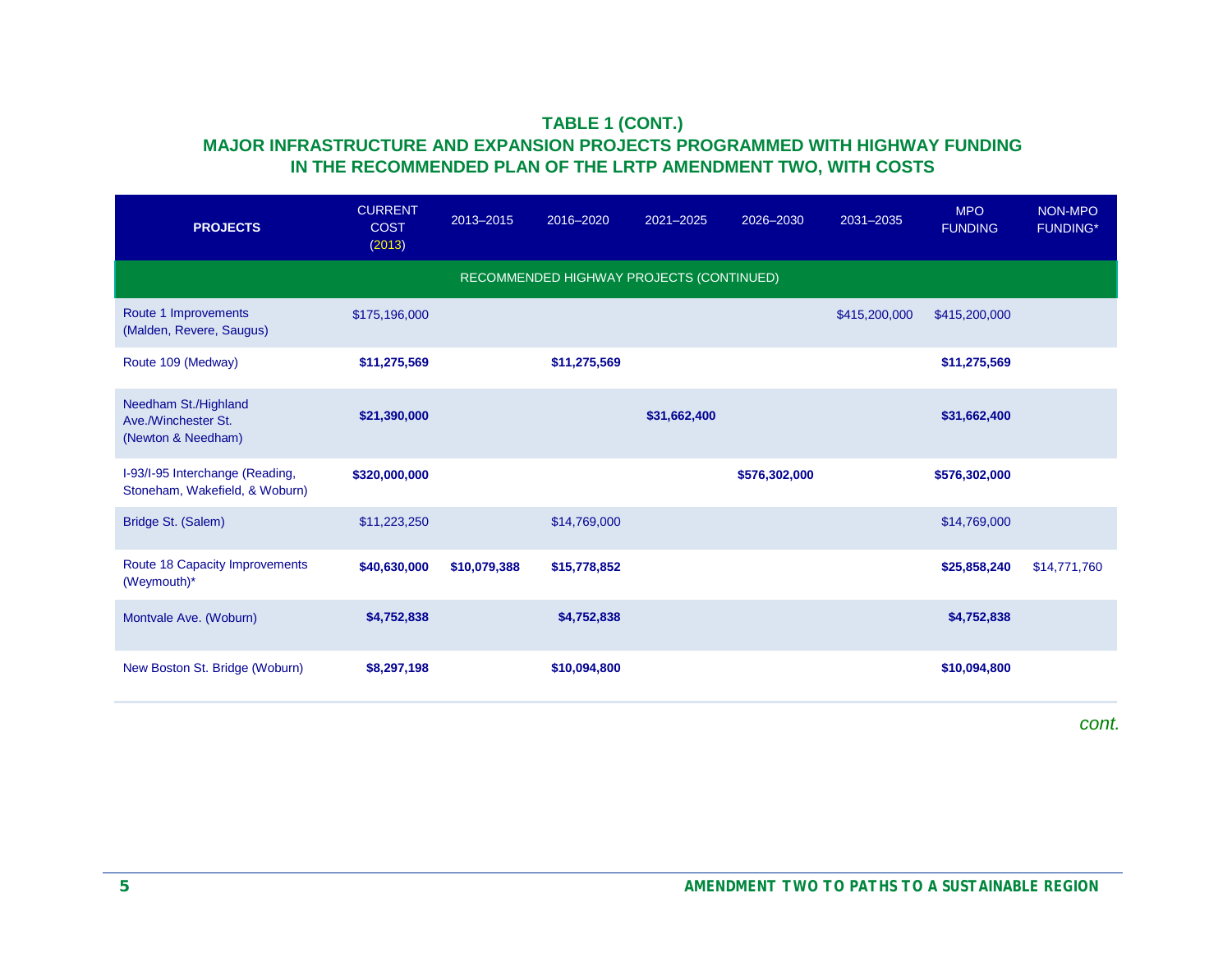#### **TABLE 1 (CONT.) MAJOR INFRASTRUCTURE AND EXPANSION PROJECTS PROGRAMMED WITH HIGHWAY FUNDING IN THE RECOMMENDED PLAN OF THE LRTP AMENDMENT TWO, WITH COSTS**

| <b>PROJECTS</b>                                                   | <b>CURRENT</b><br><b>COST</b><br>(2013) | 2013-2015    | 2016-2020                                | 2021-2025    | 2026-2030     | 2031-2035     | <b>MPO</b><br><b>FUNDING</b> | NON-MPO<br><b>FUNDING*</b> |
|-------------------------------------------------------------------|-----------------------------------------|--------------|------------------------------------------|--------------|---------------|---------------|------------------------------|----------------------------|
|                                                                   |                                         |              | RECOMMENDED HIGHWAY PROJECTS (CONTINUED) |              |               |               |                              |                            |
| Route 1 Improvements<br>(Malden, Revere, Saugus)                  | \$175,196,000                           |              |                                          |              |               | \$415,200,000 | \$415,200,000                |                            |
| Route 109 (Medway)                                                | \$11,275,569                            |              | \$11,275,569                             |              |               |               | \$11,275,569                 |                            |
| Needham St./Highland<br>Ave./Winchester St.<br>(Newton & Needham) | \$21,390,000                            |              |                                          | \$31,662,400 |               |               | \$31,662,400                 |                            |
| I-93/I-95 Interchange (Reading,<br>Stoneham, Wakefield, & Woburn) | \$320,000,000                           |              |                                          |              | \$576,302,000 |               | \$576,302,000                |                            |
| Bridge St. (Salem)                                                | \$11,223,250                            |              | \$14,769,000                             |              |               |               | \$14,769,000                 |                            |
| Route 18 Capacity Improvements<br>(Weymouth)*                     | \$40,630,000                            | \$10,079,388 | \$15,778,852                             |              |               |               | \$25,858,240                 | \$14,771,760               |
| Montvale Ave. (Woburn)                                            | \$4,752,838                             |              | \$4,752,838                              |              |               |               | \$4,752,838                  |                            |
| New Boston St. Bridge (Woburn)                                    | \$8,297,198                             |              | \$10,094,800                             |              |               |               | \$10,094,800                 |                            |
|                                                                   |                                         |              |                                          |              |               |               |                              | cont.                      |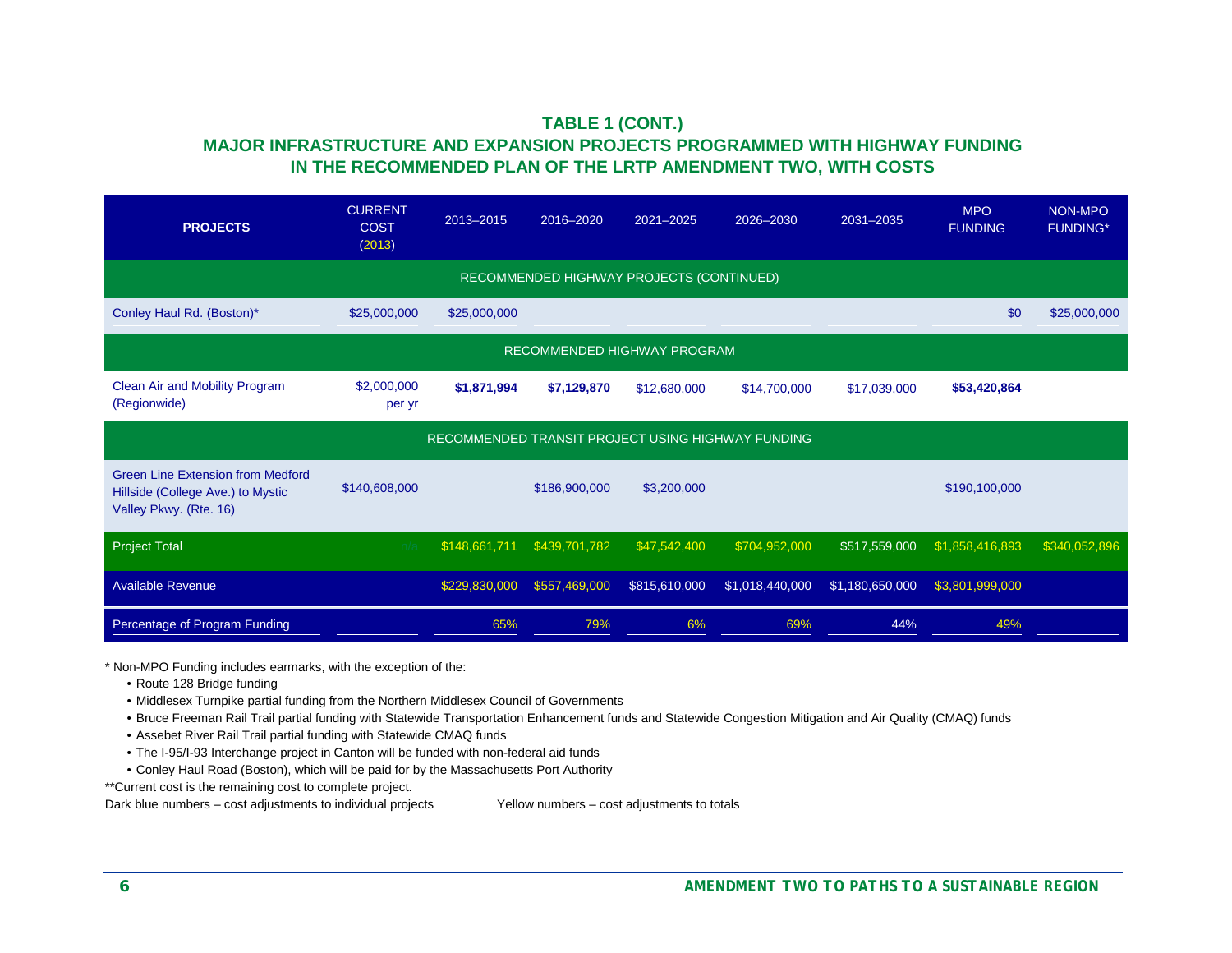#### **TABLE 1 (CONT.) MAJOR INFRASTRUCTURE AND EXPANSION PROJECTS PROGRAMMED WITH HIGHWAY FUNDING IN THE RECOMMENDED PLAN OF THE LRTP AMENDMENT TWO, WITH COSTS**

| <b>PROJECTS</b>                                                                                         | <b>CURRENT</b><br><b>COST</b><br>(2013) | 2013-2015     | 2016-2020     | 2021-2025                                         | 2026-2030       | 2031-2035       | <b>MPO</b><br><b>FUNDING</b> | NON-MPO<br><b>FUNDING*</b> |
|---------------------------------------------------------------------------------------------------------|-----------------------------------------|---------------|---------------|---------------------------------------------------|-----------------|-----------------|------------------------------|----------------------------|
|                                                                                                         |                                         |               |               | RECOMMENDED HIGHWAY PROJECTS (CONTINUED)          |                 |                 |                              |                            |
| Conley Haul Rd. (Boston)*                                                                               | \$25,000,000                            | \$25,000,000  |               |                                                   |                 |                 | \$0                          | \$25,000,000               |
|                                                                                                         |                                         |               |               | RECOMMENDED HIGHWAY PROGRAM                       |                 |                 |                              |                            |
| Clean Air and Mobility Program<br>(Regionwide)                                                          | \$2,000,000<br>per yr                   | \$1,871,994   | \$7,129,870   | \$12,680,000                                      | \$14,700,000    | \$17,039,000    | \$53,420,864                 |                            |
|                                                                                                         |                                         |               |               | RECOMMENDED TRANSIT PROJECT USING HIGHWAY FUNDING |                 |                 |                              |                            |
| <b>Green Line Extension from Medford</b><br>Hillside (College Ave.) to Mystic<br>Valley Pkwy. (Rte. 16) | \$140,608,000                           |               | \$186,900,000 | \$3,200,000                                       |                 |                 | \$190,100,000                |                            |
| <b>Project Total</b>                                                                                    |                                         | \$148,661,711 | \$439,701,782 | \$47,542,400                                      | \$704,952,000   | \$517,559,000   | \$1,858,416,893              | \$340,052,896              |
| <b>Available Revenue</b>                                                                                |                                         | \$229,830,000 | \$557,469,000 | \$815,610,000                                     | \$1,018,440,000 | \$1,180,650,000 | \$3,801,999,000              |                            |
| Percentage of Program Funding                                                                           |                                         | 65%           | 79%           | 6%                                                | 69%             | 44%             | 49%                          |                            |

\* Non-MPO Funding includes earmarks, with the exception of the:

- Route 128 Bridge funding
- Middlesex Turnpike partial funding from the Northern Middlesex Council of Governments
- Bruce Freeman Rail Trail partial funding with Statewide Transportation Enhancement funds and Statewide Congestion Mitigation and Air Quality (CMAQ) funds
- Assebet River Rail Trail partial funding with Statewide CMAQ funds
- The I-95/I-93 Interchange project in Canton will be funded with non-federal aid funds
- Conley Haul Road (Boston), which will be paid for by the Massachusetts Port Authority

\*\*Current cost is the remaining cost to complete project.

Dark blue numbers – cost adjustments to individual projects Yellow numbers – cost adjustments to totals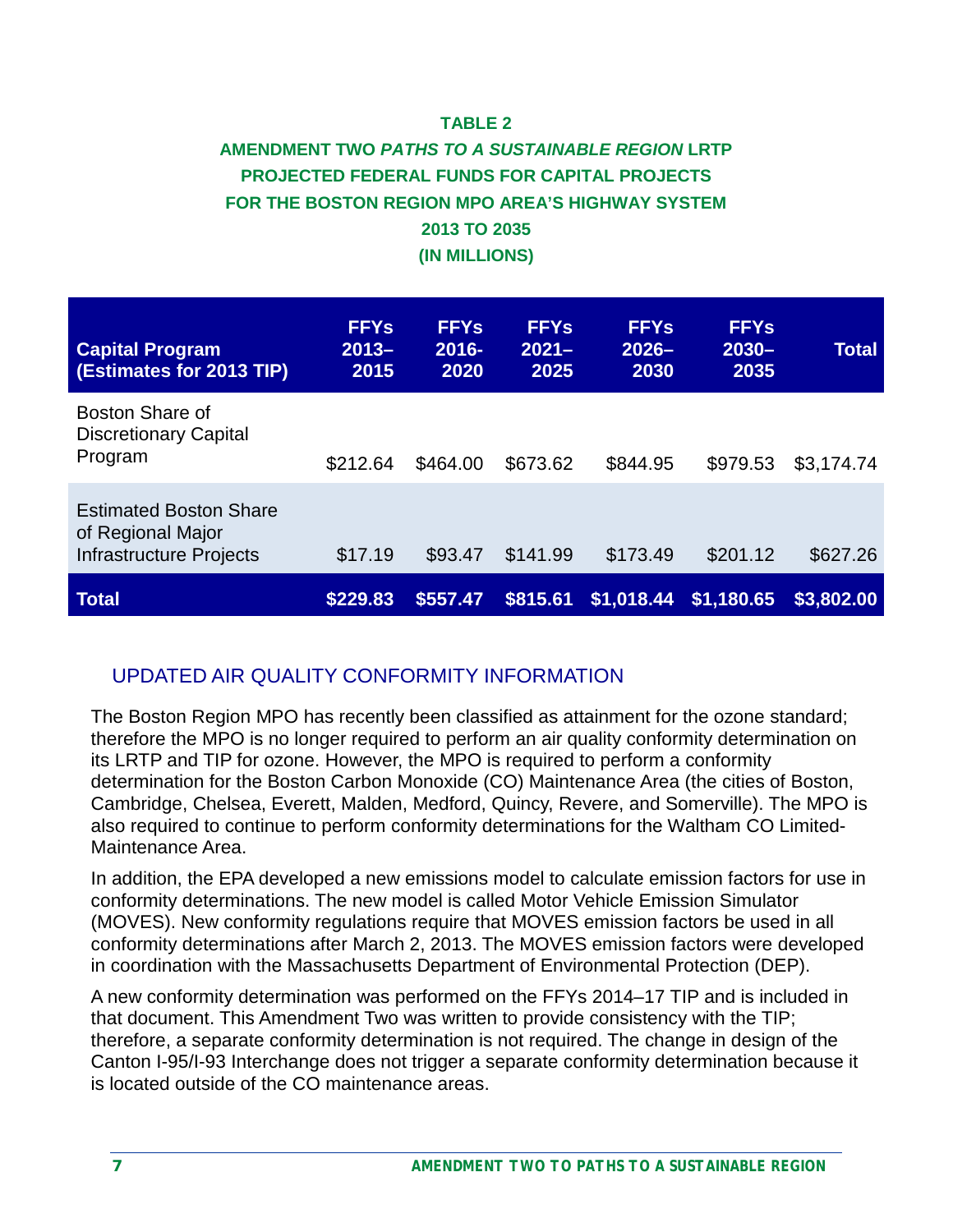### **TABLE 2**

### **AMENDMENT TWO** *PATHS TO A SUSTAINABLE REGION* **LRTP PROJECTED FEDERAL FUNDS FOR CAPITAL PROJECTS FOR THE BOSTON REGION MPO AREA'S HIGHWAY SYSTEM 2013 TO 2035 (IN MILLIONS)**

| <b>Capital Program</b><br><b>(Estimates for 2013 TIP)</b>                     | <b>FFYs</b><br>$2013 -$<br>2015 | <b>FFYs</b><br>$2016 -$<br>2020 | <b>FFYs</b><br>$2021 -$<br>2025 | <b>FFYs</b><br>$2026 -$<br>2030 | <b>FFYs</b><br>$2030 -$<br>2035 | <b>Total</b> |
|-------------------------------------------------------------------------------|---------------------------------|---------------------------------|---------------------------------|---------------------------------|---------------------------------|--------------|
| Boston Share of<br><b>Discretionary Capital</b><br>Program                    | \$212.64                        | \$464.00                        | \$673.62                        | \$844.95                        | \$979.53                        | \$3,174.74   |
| <b>Estimated Boston Share</b><br>of Regional Major<br>Infrastructure Projects | \$17.19                         | \$93.47                         | \$141.99                        | \$173.49                        | \$201.12                        | \$627.26     |
| Total                                                                         | \$229.83                        | \$557.47                        | \$815.61                        |                                 | $$1,018.44$ \$1,180.65          | \$3,802.00   |

### UPDATED AIR QUALITY CONFORMITY INFORMATION

The Boston Region MPO has recently been classified as attainment for the ozone standard; therefore the MPO is no longer required to perform an air quality conformity determination on its LRTP and TIP for ozone. However, the MPO is required to perform a conformity determination for the Boston Carbon Monoxide (CO) Maintenance Area (the cities of Boston, Cambridge, Chelsea, Everett, Malden, Medford, Quincy, Revere, and Somerville). The MPO is also required to continue to perform conformity determinations for the Waltham CO Limited-Maintenance Area.

In addition, the EPA developed a new emissions model to calculate emission factors for use in conformity determinations. The new model is called Motor Vehicle Emission Simulator (MOVES). New conformity regulations require that MOVES emission factors be used in all conformity determinations after March 2, 2013. The MOVES emission factors were developed in coordination with the Massachusetts Department of Environmental Protection (DEP).

A new conformity determination was performed on the FFYs 2014–17 TIP and is included in that document. This Amendment Two was written to provide consistency with the TIP; therefore, a separate conformity determination is not required. The change in design of the Canton I-95/I-93 Interchange does not trigger a separate conformity determination because it is located outside of the CO maintenance areas.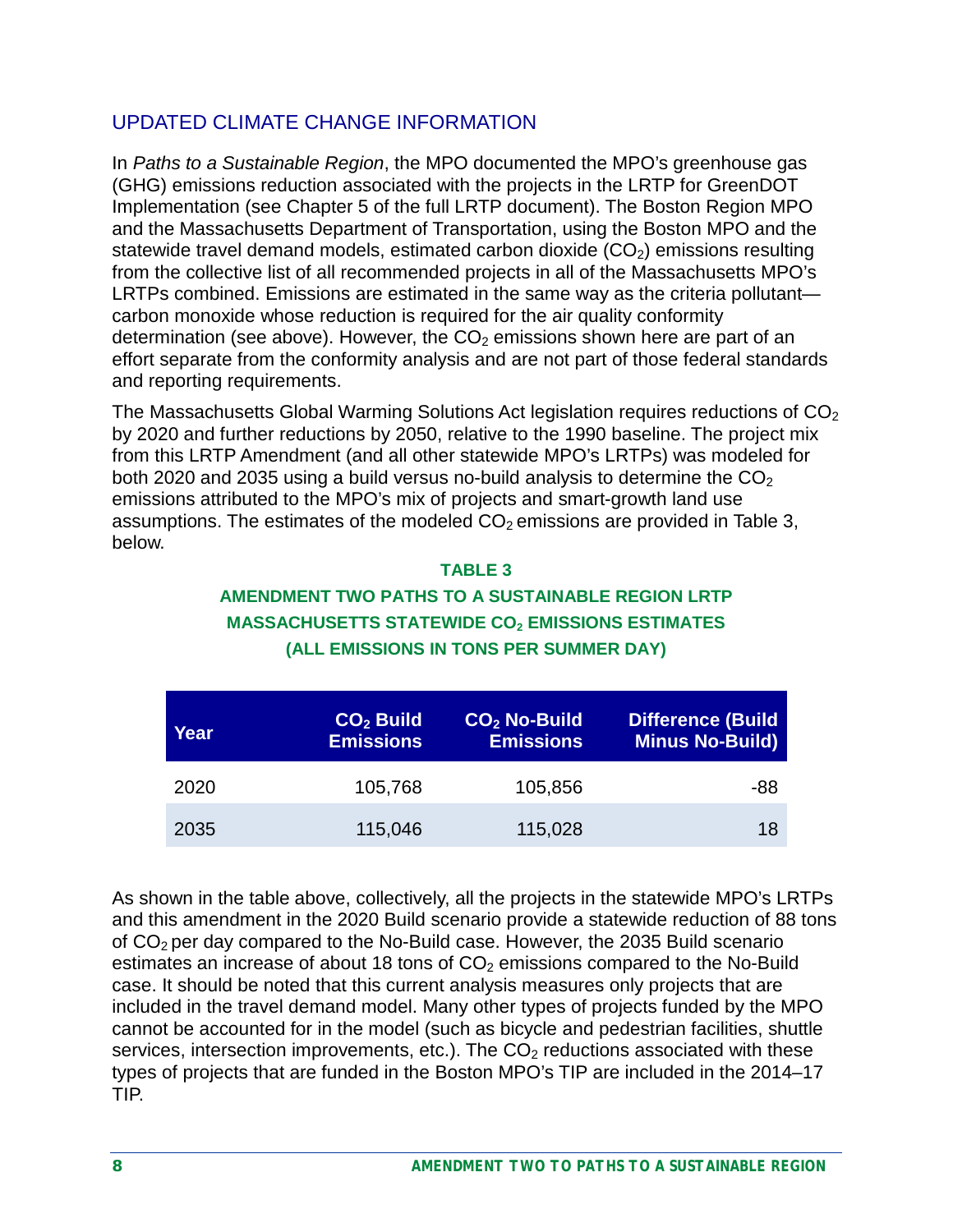## UPDATED CLIMATE CHANGE INFORMATION

In *Paths to a Sustainable Region*, the MPO documented the MPO's greenhouse gas (GHG) emissions reduction associated with the projects in the LRTP for GreenDOT Implementation (see Chapter 5 of the full LRTP document). The Boston Region MPO and the Massachusetts Department of Transportation, using the Boston MPO and the statewide travel demand models, estimated carbon dioxide  $(CO<sub>2</sub>)$  emissions resulting from the collective list of all recommended projects in all of the Massachusetts MPO's LRTPs combined. Emissions are estimated in the same way as the criteria pollutantcarbon monoxide whose reduction is required for the air quality conformity determination (see above). However, the  $CO<sub>2</sub>$  emissions shown here are part of an effort separate from the conformity analysis and are not part of those federal standards and reporting requirements.

The Massachusetts Global Warming Solutions Act legislation requires reductions of  $CO<sub>2</sub>$ by 2020 and further reductions by 2050, relative to the 1990 baseline. The project mix from this LRTP Amendment (and all other statewide MPO's LRTPs) was modeled for both 2020 and 2035 using a build versus no-build analysis to determine the  $CO<sub>2</sub>$ emissions attributed to the MPO's mix of projects and smart-growth land use assumptions. The estimates of the modeled  $CO<sub>2</sub>$  emissions are provided in Table 3, below.

#### **TABLE 3**

### **AMENDMENT TWO PATHS TO A SUSTAINABLE REGION LRTP MASSACHUSETTS STATEWIDE CO2 EMISSIONS ESTIMATES (ALL EMISSIONS IN TONS PER SUMMER DAY)**

| Year | $CO2$ Build<br><b>Emissions</b> | $CO2$ No-Build<br><b>Emissions</b> | <b>Difference (Build</b><br><b>Minus No-Build)</b> |
|------|---------------------------------|------------------------------------|----------------------------------------------------|
| 2020 | 105,768                         | 105,856                            | -88                                                |
| 2035 | 115,046                         | 115,028                            | 18                                                 |

As shown in the table above, collectively, all the projects in the statewide MPO's LRTPs and this amendment in the 2020 Build scenario provide a statewide reduction of 88 tons of  $CO<sub>2</sub>$  per day compared to the No-Build case. However, the 2035 Build scenario estimates an increase of about 18 tons of  $CO<sub>2</sub>$  emissions compared to the No-Build case. It should be noted that this current analysis measures only projects that are included in the travel demand model. Many other types of projects funded by the MPO cannot be accounted for in the model (such as bicycle and pedestrian facilities, shuttle services, intersection improvements, etc.). The  $CO<sub>2</sub>$  reductions associated with these types of projects that are funded in the Boston MPO's TIP are included in the 2014–17 TIP.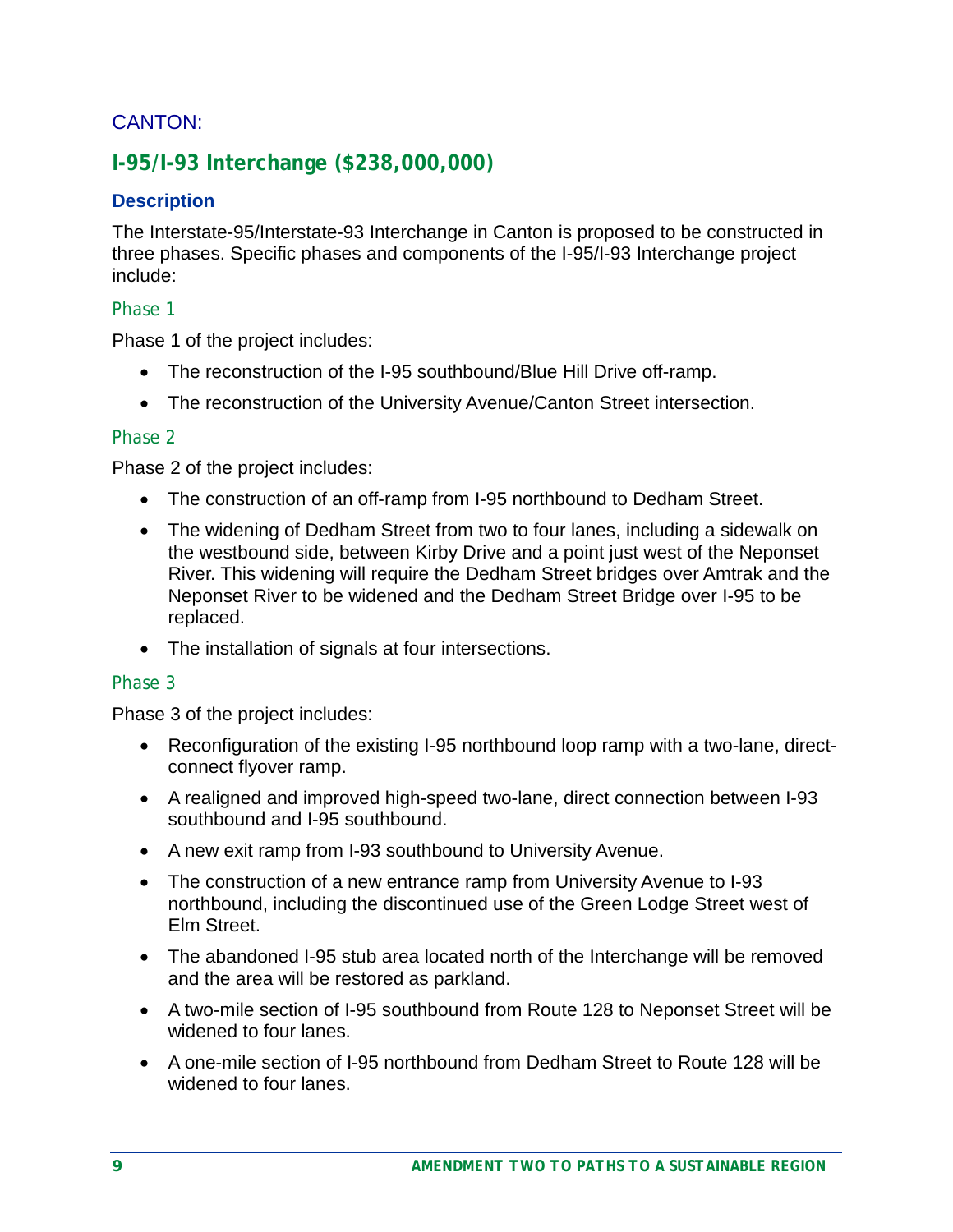### CANTON:

### **I-95/I-93 Interchange (\$238,000,000)**

#### **Description**

The Interstate-95/Interstate-93 Interchange in Canton is proposed to be constructed in three phases. Specific phases and components of the I-95/I-93 Interchange project include:

#### *Phase 1*

Phase 1 of the project includes:

- The reconstruction of the I-95 southbound/Blue Hill Drive off-ramp.
- The reconstruction of the University Avenue/Canton Street intersection.

#### *Phase 2*

Phase 2 of the project includes:

- The construction of an off-ramp from I-95 northbound to Dedham Street.
- The widening of Dedham Street from two to four lanes, including a sidewalk on the westbound side, between Kirby Drive and a point just west of the Neponset River. This widening will require the Dedham Street bridges over Amtrak and the Neponset River to be widened and the Dedham Street Bridge over I-95 to be replaced.
- The installation of signals at four intersections.

#### *Phase 3*

Phase 3 of the project includes:

- Reconfiguration of the existing I-95 northbound loop ramp with a two-lane, directconnect flyover ramp.
- A realigned and improved high-speed two-lane, direct connection between I-93 southbound and I-95 southbound.
- A new exit ramp from I-93 southbound to University Avenue.
- The construction of a new entrance ramp from University Avenue to I-93 northbound, including the discontinued use of the Green Lodge Street west of Elm Street.
- The abandoned I-95 stub area located north of the Interchange will be removed and the area will be restored as parkland.
- A two-mile section of I-95 southbound from Route 128 to Neponset Street will be widened to four lanes.
- A one-mile section of I-95 northbound from Dedham Street to Route 128 will be widened to four lanes.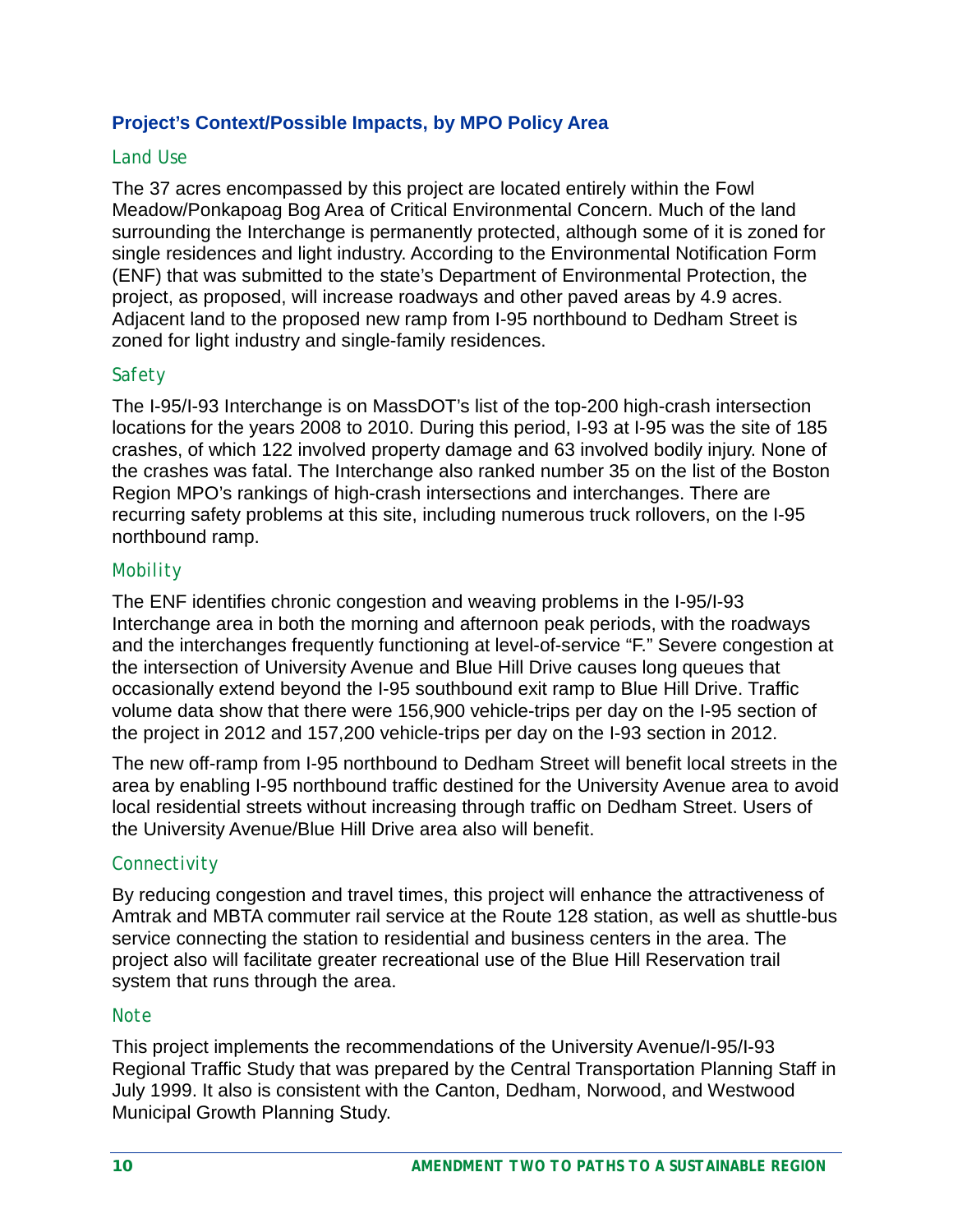#### **Project's Context/Possible Impacts, by MPO Policy Area**

#### *Land Use*

The 37 acres encompassed by this project are located entirely within the Fowl Meadow/Ponkapoag Bog Area of Critical Environmental Concern. Much of the land surrounding the Interchange is permanently protected, although some of it is zoned for single residences and light industry. According to the Environmental Notification Form (ENF) that was submitted to the state's Department of Environmental Protection, the project, as proposed, will increase roadways and other paved areas by 4.9 acres. Adjacent land to the proposed new ramp from I-95 northbound to Dedham Street is zoned for light industry and single-family residences.

#### *Safety*

The I-95/I-93 Interchange is on MassDOT's list of the top-200 high-crash intersection locations for the years 2008 to 2010. During this period, I-93 at I-95 was the site of 185 crashes, of which 122 involved property damage and 63 involved bodily injury. None of the crashes was fatal. The Interchange also ranked number 35 on the list of the Boston Region MPO's rankings of high-crash intersections and interchanges. There are recurring safety problems at this site, including numerous truck rollovers, on the I-95 northbound ramp.

#### *Mobility*

The ENF identifies chronic congestion and weaving problems in the I-95/I-93 Interchange area in both the morning and afternoon peak periods, with the roadways and the interchanges frequently functioning at level-of-service "F." Severe congestion at the intersection of University Avenue and Blue Hill Drive causes long queues that occasionally extend beyond the I-95 southbound exit ramp to Blue Hill Drive. Traffic volume data show that there were 156,900 vehicle-trips per day on the I-95 section of the project in 2012 and 157,200 vehicle-trips per day on the I-93 section in 2012.

The new off-ramp from I-95 northbound to Dedham Street will benefit local streets in the area by enabling I-95 northbound traffic destined for the University Avenue area to avoid local residential streets without increasing through traffic on Dedham Street. Users of the University Avenue/Blue Hill Drive area also will benefit.

#### *Connectivity*

By reducing congestion and travel times, this project will enhance the attractiveness of Amtrak and MBTA commuter rail service at the Route 128 station, as well as shuttle-bus service connecting the station to residential and business centers in the area. The project also will facilitate greater recreational use of the Blue Hill Reservation trail system that runs through the area.

#### *Note*

This project implements the recommendations of the University Avenue/I-95/I-93 Regional Traffic Study that was prepared by the Central Transportation Planning Staff in July 1999. It also is consistent with the Canton, Dedham, Norwood, and Westwood Municipal Growth Planning Study.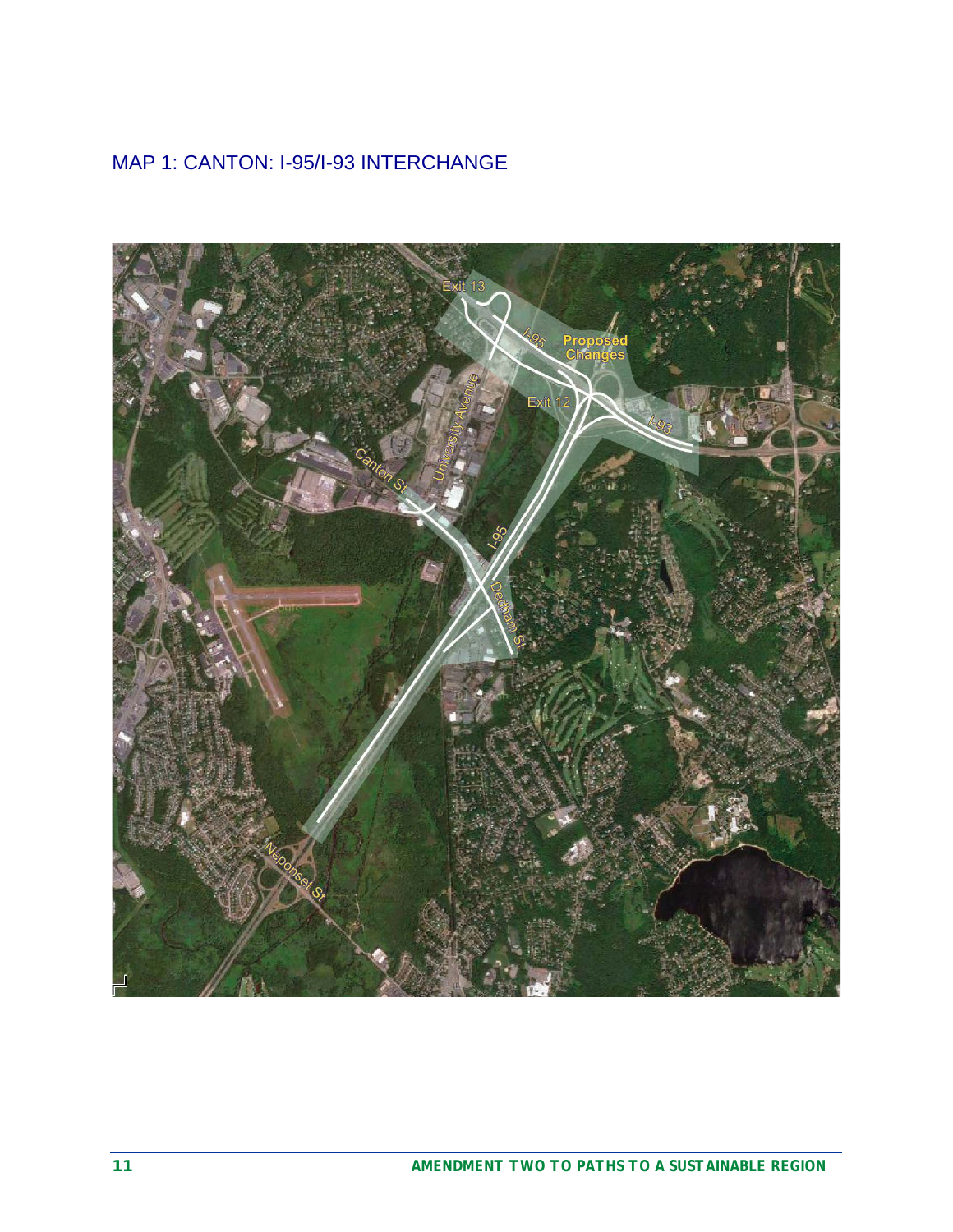## MAP 1: CANTON: I-95/I-93 INTERCHANGE

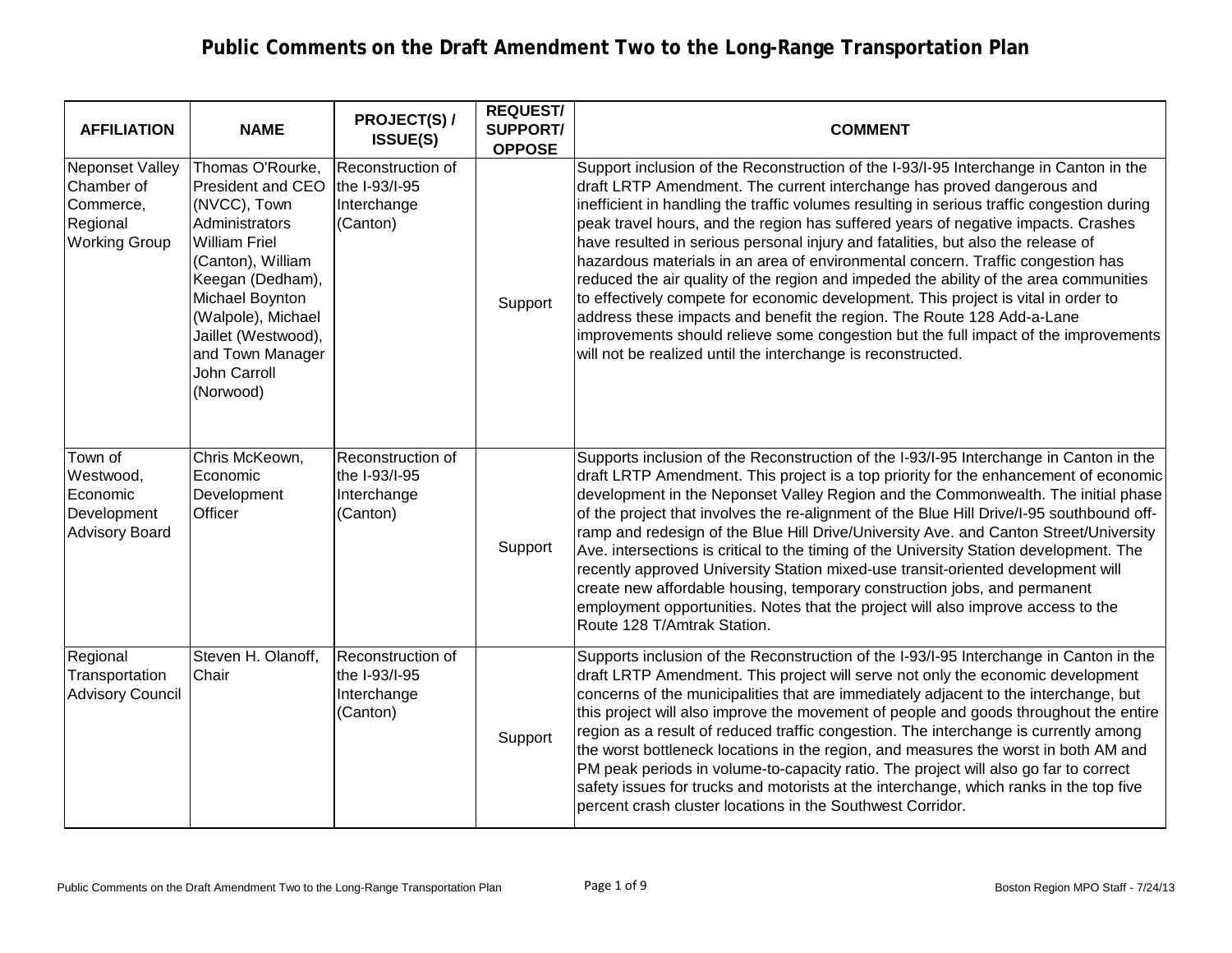| <b>AFFILIATION</b>                                                                    | <b>NAME</b>                                                                                                                                                                                                                                                      | <b>PROJECT(S) /</b><br><b>ISSUE(S)</b>                        | <b>REQUEST/</b><br><b>SUPPORT/</b><br><b>OPPOSE</b> | <b>COMMENT</b>                                                                                                                                                                                                                                                                                                                                                                                                                                                                                                                                                                                                                                                                                                                                                                                                                                                                                                                            |
|---------------------------------------------------------------------------------------|------------------------------------------------------------------------------------------------------------------------------------------------------------------------------------------------------------------------------------------------------------------|---------------------------------------------------------------|-----------------------------------------------------|-------------------------------------------------------------------------------------------------------------------------------------------------------------------------------------------------------------------------------------------------------------------------------------------------------------------------------------------------------------------------------------------------------------------------------------------------------------------------------------------------------------------------------------------------------------------------------------------------------------------------------------------------------------------------------------------------------------------------------------------------------------------------------------------------------------------------------------------------------------------------------------------------------------------------------------------|
| <b>Neponset Valley</b><br>Chamber of<br>Commerce,<br>Regional<br><b>Working Group</b> | Thomas O'Rourke,<br><b>President and CEO</b><br>(NVCC), Town<br>Administrators<br><b>William Friel</b><br>(Canton), William<br>Keegan (Dedham),<br>Michael Boynton<br>(Walpole), Michael<br>Jaillet (Westwood),<br>and Town Manager<br>John Carroll<br>(Norwood) | Reconstruction of<br>the I-93/I-95<br>Interchange<br>(Canton) | Support                                             | Support inclusion of the Reconstruction of the I-93/I-95 Interchange in Canton in the<br>draft LRTP Amendment. The current interchange has proved dangerous and<br>inefficient in handling the traffic volumes resulting in serious traffic congestion during<br>peak travel hours, and the region has suffered years of negative impacts. Crashes<br>have resulted in serious personal injury and fatalities, but also the release of<br>hazardous materials in an area of environmental concern. Traffic congestion has<br>reduced the air quality of the region and impeded the ability of the area communities<br>to effectively compete for economic development. This project is vital in order to<br>address these impacts and benefit the region. The Route 128 Add-a-Lane<br>improvements should relieve some congestion but the full impact of the improvements<br>will not be realized until the interchange is reconstructed. |
| Town of<br>Westwood,<br>Economic<br>Development<br><b>Advisory Board</b>              | Chris McKeown,<br>Economic<br>Development<br>Officer                                                                                                                                                                                                             | Reconstruction of<br>the I-93/I-95<br>Interchange<br>(Canton) | Support                                             | Supports inclusion of the Reconstruction of the I-93/I-95 Interchange in Canton in the<br>draft LRTP Amendment. This project is a top priority for the enhancement of economic<br>development in the Neponset Valley Region and the Commonwealth. The initial phase<br>of the project that involves the re-alignment of the Blue Hill Drive/I-95 southbound off-<br>ramp and redesign of the Blue Hill Drive/University Ave. and Canton Street/University<br>Ave. intersections is critical to the timing of the University Station development. The<br>recently approved University Station mixed-use transit-oriented development will<br>create new affordable housing, temporary construction jobs, and permanent<br>employment opportunities. Notes that the project will also improve access to the<br>Route 128 T/Amtrak Station.                                                                                                  |
| Regional<br>Transportation<br><b>Advisory Council</b>                                 | Steven H. Olanoff,<br>Chair                                                                                                                                                                                                                                      | Reconstruction of<br>the I-93/I-95<br>Interchange<br>(Canton) | Support                                             | Supports inclusion of the Reconstruction of the I-93/I-95 Interchange in Canton in the<br>draft LRTP Amendment. This project will serve not only the economic development<br>concerns of the municipalities that are immediately adjacent to the interchange, but<br>this project will also improve the movement of people and goods throughout the entire<br>region as a result of reduced traffic congestion. The interchange is currently among<br>the worst bottleneck locations in the region, and measures the worst in both AM and<br>PM peak periods in volume-to-capacity ratio. The project will also go far to correct<br>safety issues for trucks and motorists at the interchange, which ranks in the top five<br>percent crash cluster locations in the Southwest Corridor.                                                                                                                                                 |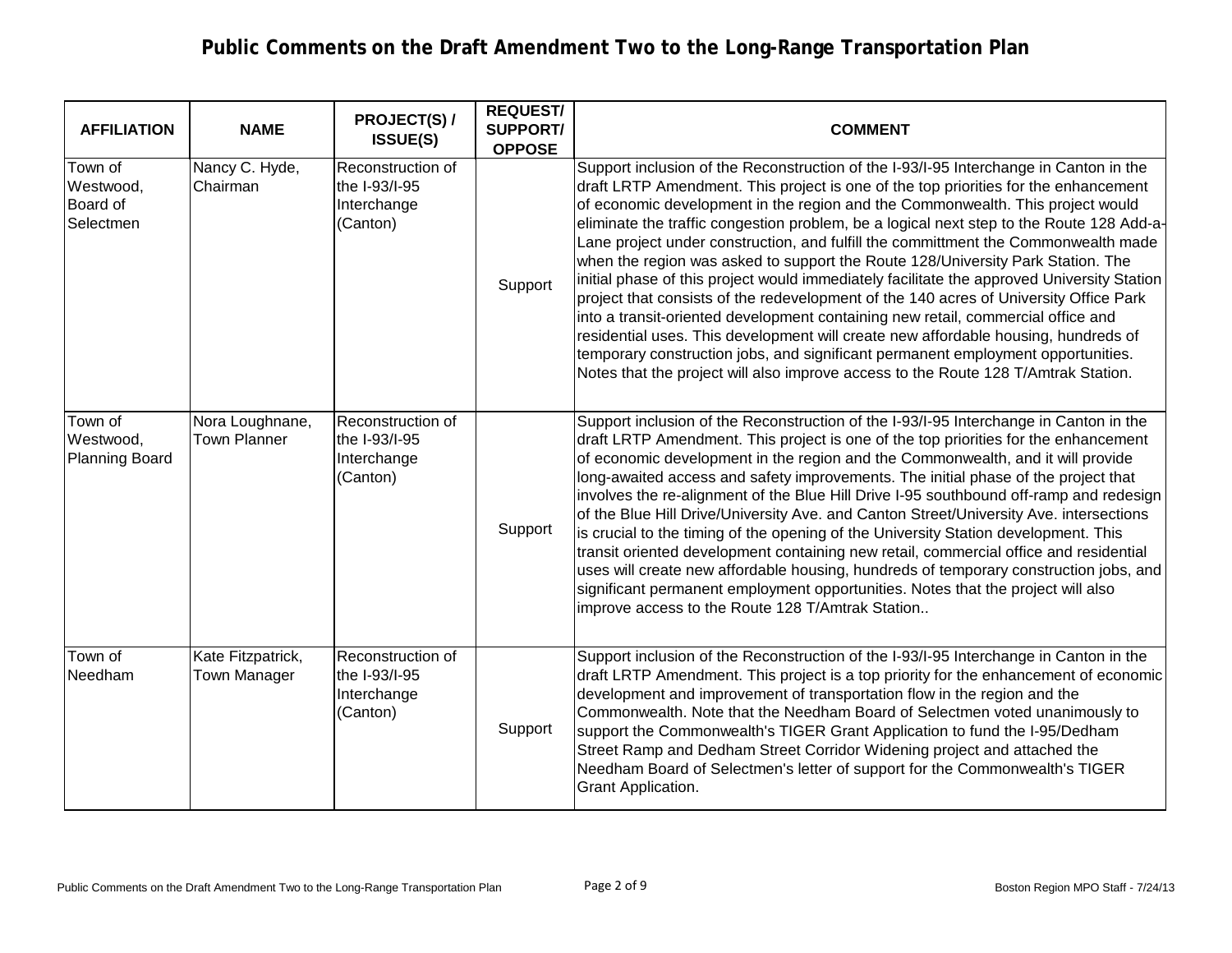| <b>AFFILIATION</b>                                   | <b>NAME</b>                            | <b>PROJECT(S) /</b><br><b>ISSUE(S)</b>                                 | <b>REQUEST/</b><br><b>SUPPORT/</b><br><b>OPPOSE</b> | <b>COMMENT</b>                                                                                                                                                                                                                                                                                                                                                                                                                                                                                                                                                                                                                                                                                                                                                                                                                                                                                                                                                                                                                                                                 |
|------------------------------------------------------|----------------------------------------|------------------------------------------------------------------------|-----------------------------------------------------|--------------------------------------------------------------------------------------------------------------------------------------------------------------------------------------------------------------------------------------------------------------------------------------------------------------------------------------------------------------------------------------------------------------------------------------------------------------------------------------------------------------------------------------------------------------------------------------------------------------------------------------------------------------------------------------------------------------------------------------------------------------------------------------------------------------------------------------------------------------------------------------------------------------------------------------------------------------------------------------------------------------------------------------------------------------------------------|
| Town of<br>Westwood,<br><b>Board of</b><br>Selectmen | Nancy C. Hyde,<br>Chairman             | Reconstruction of<br>the I-93/I-95<br>Interchange<br>(Canton)          | Support                                             | Support inclusion of the Reconstruction of the I-93/I-95 Interchange in Canton in the<br>draft LRTP Amendment. This project is one of the top priorities for the enhancement<br>of economic development in the region and the Commonwealth. This project would<br>eliminate the traffic congestion problem, be a logical next step to the Route 128 Add-a-<br>Lane project under construction, and fulfill the committment the Commonwealth made<br>when the region was asked to support the Route 128/University Park Station. The<br>initial phase of this project would immediately facilitate the approved University Station<br>project that consists of the redevelopment of the 140 acres of University Office Park<br>into a transit-oriented development containing new retail, commercial office and<br>residential uses. This development will create new affordable housing, hundreds of<br>temporary construction jobs, and significant permanent employment opportunities.<br>Notes that the project will also improve access to the Route 128 T/Amtrak Station. |
| Town of<br>Westwood,<br>Planning Board               | Nora Loughnane,<br><b>Town Planner</b> | Reconstruction of<br>the I-93/I-95<br>Interchange<br>(Canton)          | Support                                             | Support inclusion of the Reconstruction of the I-93/I-95 Interchange in Canton in the<br>draft LRTP Amendment. This project is one of the top priorities for the enhancement<br>of economic development in the region and the Commonwealth, and it will provide<br>long-awaited access and safety improvements. The initial phase of the project that<br>involves the re-alignment of the Blue Hill Drive I-95 southbound off-ramp and redesign<br>of the Blue Hill Drive/University Ave. and Canton Street/University Ave. intersections<br>is crucial to the timing of the opening of the University Station development. This<br>transit oriented development containing new retail, commercial office and residential<br>uses will create new affordable housing, hundreds of temporary construction jobs, and<br>significant permanent employment opportunities. Notes that the project will also<br>improve access to the Route 128 T/Amtrak Station                                                                                                                     |
| Town of<br>Needham                                   | Kate Fitzpatrick,<br>Town Manager      | <b>Reconstruction of</b><br>the $I-93/I-95$<br>Interchange<br>(Canton) | Support                                             | Support inclusion of the Reconstruction of the I-93/I-95 Interchange in Canton in the<br>draft LRTP Amendment. This project is a top priority for the enhancement of economic<br>development and improvement of transportation flow in the region and the<br>Commonwealth. Note that the Needham Board of Selectmen voted unanimously to<br>support the Commonwealth's TIGER Grant Application to fund the I-95/Dedham<br>Street Ramp and Dedham Street Corridor Widening project and attached the<br>Needham Board of Selectmen's letter of support for the Commonwealth's TIGER<br>Grant Application.                                                                                                                                                                                                                                                                                                                                                                                                                                                                        |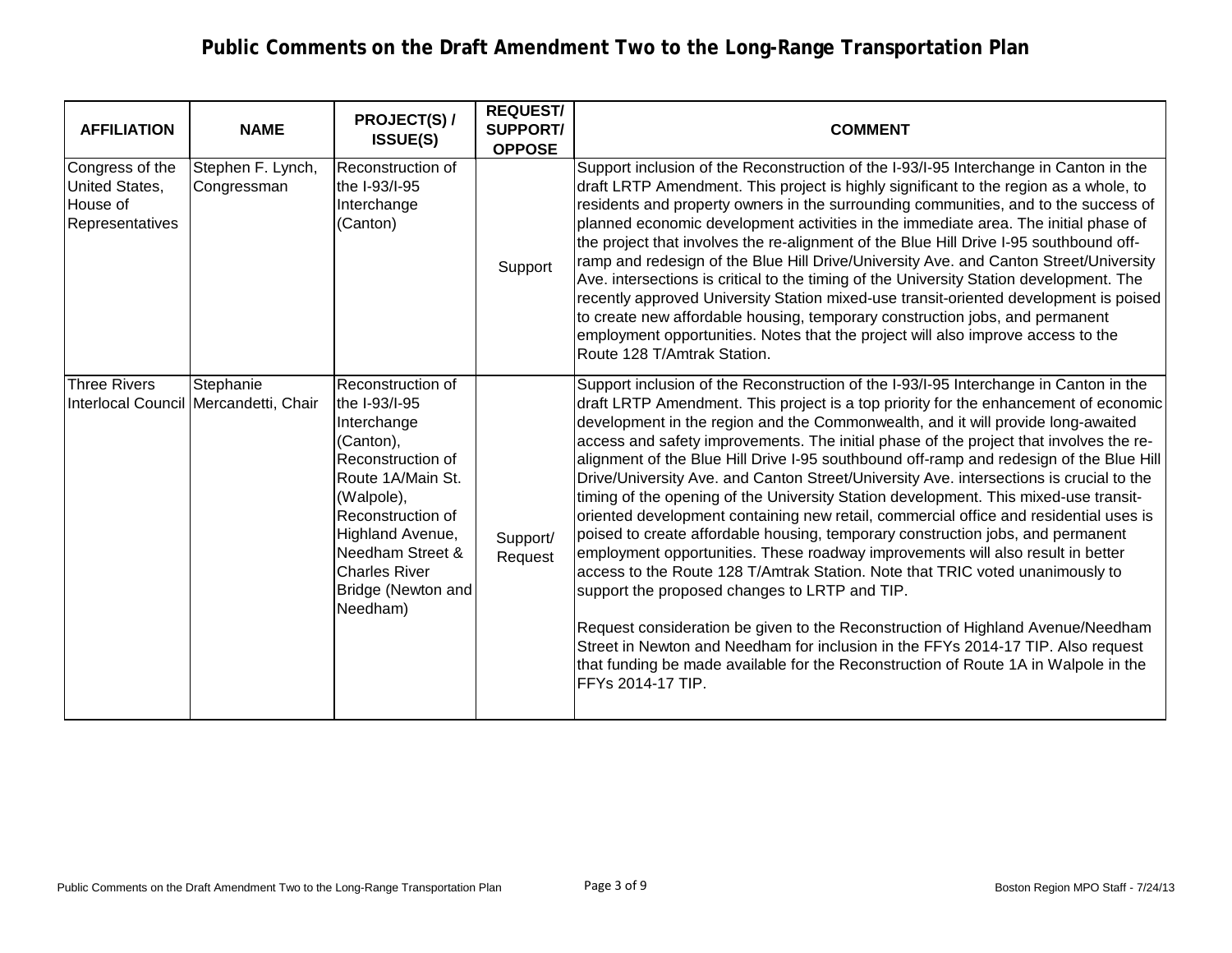| <b>AFFILIATION</b>                                                             | <b>NAME</b>                                        | <b>PROJECT(S) /</b><br><b>ISSUE(S)</b>                                                                                                                                                                                                        | <b>REQUEST/</b><br><b>SUPPORT/</b><br><b>OPPOSE</b> | <b>COMMENT</b>                                                                                                                                                                                                                                                                                                                                                                                                                                                                                                                                                                                                                                                                                                                                                                                                                                                                                                                                                                                                                                                                                                                                                                                                                                                                                                                |
|--------------------------------------------------------------------------------|----------------------------------------------------|-----------------------------------------------------------------------------------------------------------------------------------------------------------------------------------------------------------------------------------------------|-----------------------------------------------------|-------------------------------------------------------------------------------------------------------------------------------------------------------------------------------------------------------------------------------------------------------------------------------------------------------------------------------------------------------------------------------------------------------------------------------------------------------------------------------------------------------------------------------------------------------------------------------------------------------------------------------------------------------------------------------------------------------------------------------------------------------------------------------------------------------------------------------------------------------------------------------------------------------------------------------------------------------------------------------------------------------------------------------------------------------------------------------------------------------------------------------------------------------------------------------------------------------------------------------------------------------------------------------------------------------------------------------|
| Congress of the<br><b>United States,</b><br>House of<br><b>Representatives</b> | Stephen F. Lynch,<br>Congressman                   | Reconstruction of<br>the I-93/I-95<br>Interchange<br>(Canton)                                                                                                                                                                                 | Support                                             | Support inclusion of the Reconstruction of the I-93/I-95 Interchange in Canton in the<br>draft LRTP Amendment. This project is highly significant to the region as a whole, to<br>residents and property owners in the surrounding communities, and to the success of<br>planned economic development activities in the immediate area. The initial phase of<br>the project that involves the re-alignment of the Blue Hill Drive I-95 southbound off-<br>ramp and redesign of the Blue Hill Drive/University Ave. and Canton Street/University<br>Ave. intersections is critical to the timing of the University Station development. The<br>recently approved University Station mixed-use transit-oriented development is poised<br>to create new affordable housing, temporary construction jobs, and permanent<br>employment opportunities. Notes that the project will also improve access to the<br>Route 128 T/Amtrak Station.                                                                                                                                                                                                                                                                                                                                                                                        |
| <b>Three Rivers</b>                                                            | Stephanie<br>Interlocal Council Mercandetti, Chair | Reconstruction of<br>the I-93/I-95<br>Interchange<br>(Canton),<br>Reconstruction of<br>Route 1A/Main St.<br>(Walpole),<br>Reconstruction of<br>Highland Avenue,<br>Needham Street &<br><b>Charles River</b><br>Bridge (Newton and<br>Needham) | Support/<br>Request                                 | Support inclusion of the Reconstruction of the I-93/I-95 Interchange in Canton in the<br>draft LRTP Amendment. This project is a top priority for the enhancement of economic<br>development in the region and the Commonwealth, and it will provide long-awaited<br>access and safety improvements. The initial phase of the project that involves the re-<br>alignment of the Blue Hill Drive I-95 southbound off-ramp and redesign of the Blue Hill<br>Drive/University Ave. and Canton Street/University Ave. intersections is crucial to the<br>timing of the opening of the University Station development. This mixed-use transit-<br>oriented development containing new retail, commercial office and residential uses is<br>poised to create affordable housing, temporary construction jobs, and permanent<br>employment opportunities. These roadway improvements will also result in better<br>access to the Route 128 T/Amtrak Station. Note that TRIC voted unanimously to<br>support the proposed changes to LRTP and TIP.<br>Request consideration be given to the Reconstruction of Highland Avenue/Needham<br>Street in Newton and Needham for inclusion in the FFYs 2014-17 TIP. Also request<br>that funding be made available for the Reconstruction of Route 1A in Walpole in the<br>FFYs 2014-17 TIP. |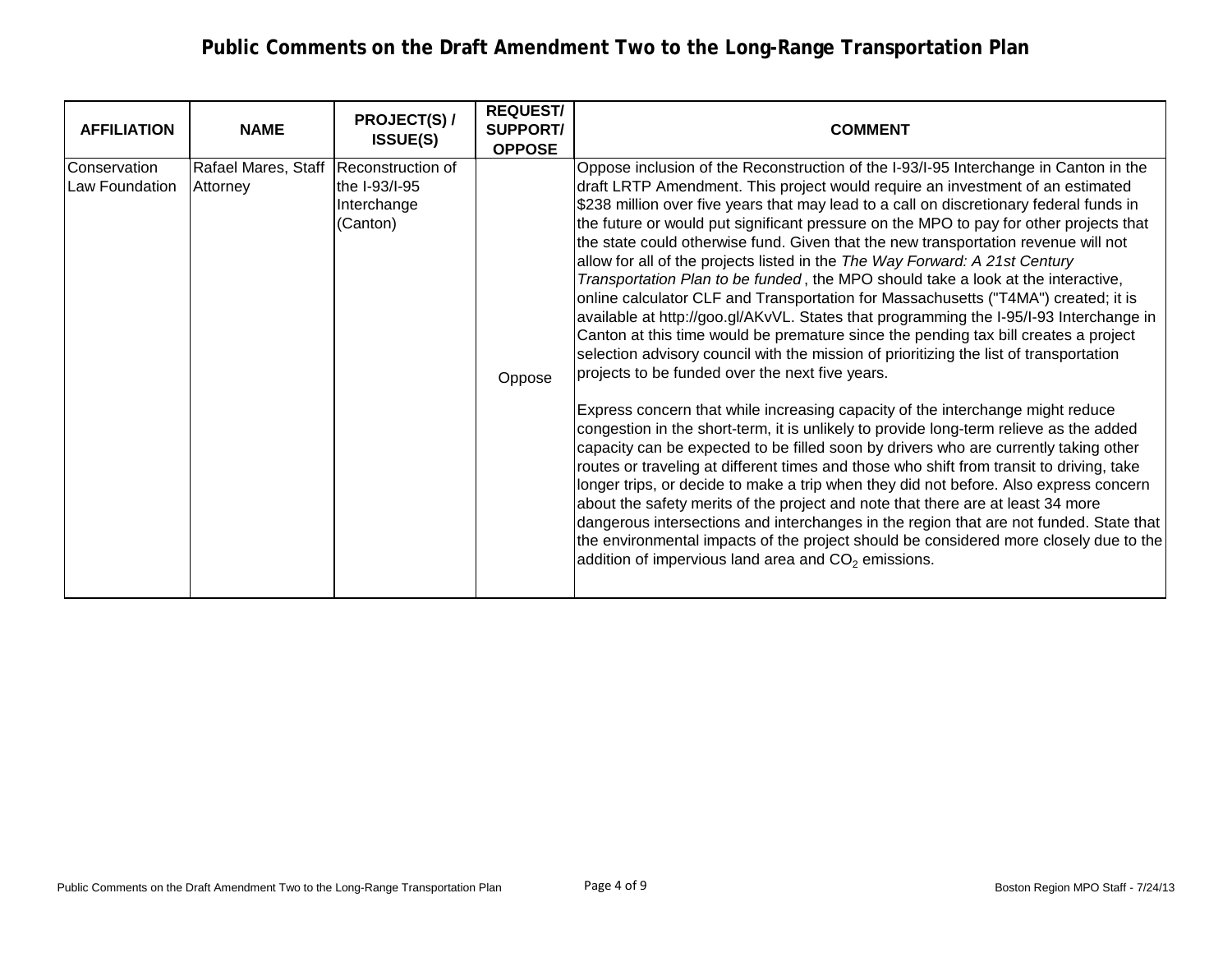| <b>AFFILIATION</b>                    | <b>NAME</b>                     | <b>PROJECT(S) /</b><br><b>ISSUE(S)</b>                        | <b>REQUEST/</b><br><b>SUPPORT/</b><br><b>OPPOSE</b> | <b>COMMENT</b>                                                                                                                                                                                                                                                                                                                                                                                                                                                                                                                                                                                                                                                                                                                                                                                                                                                                                                                                                                                                                                                                                                                                                                                                                                                                                                                                                                                                                                                                                                                                                                                                                                                                                                                                                                                                                   |
|---------------------------------------|---------------------------------|---------------------------------------------------------------|-----------------------------------------------------|----------------------------------------------------------------------------------------------------------------------------------------------------------------------------------------------------------------------------------------------------------------------------------------------------------------------------------------------------------------------------------------------------------------------------------------------------------------------------------------------------------------------------------------------------------------------------------------------------------------------------------------------------------------------------------------------------------------------------------------------------------------------------------------------------------------------------------------------------------------------------------------------------------------------------------------------------------------------------------------------------------------------------------------------------------------------------------------------------------------------------------------------------------------------------------------------------------------------------------------------------------------------------------------------------------------------------------------------------------------------------------------------------------------------------------------------------------------------------------------------------------------------------------------------------------------------------------------------------------------------------------------------------------------------------------------------------------------------------------------------------------------------------------------------------------------------------------|
| <b>Conservation</b><br>Law Foundation | Rafael Mares, Staff<br>Attorney | Reconstruction of<br>the I-93/I-95<br>Interchange<br>(Canton) | Oppose                                              | Oppose inclusion of the Reconstruction of the I-93/I-95 Interchange in Canton in the<br>draft LRTP Amendment. This project would require an investment of an estimated<br>\$238 million over five years that may lead to a call on discretionary federal funds in<br>the future or would put significant pressure on the MPO to pay for other projects that<br>the state could otherwise fund. Given that the new transportation revenue will not<br>allow for all of the projects listed in the The Way Forward: A 21st Century<br>Transportation Plan to be funded, the MPO should take a look at the interactive,<br>online calculator CLF and Transportation for Massachusetts ("T4MA") created; it is<br>available at http://goo.gl/AKvVL. States that programming the I-95/I-93 Interchange in<br>Canton at this time would be premature since the pending tax bill creates a project<br>selection advisory council with the mission of prioritizing the list of transportation<br>projects to be funded over the next five years.<br>Express concern that while increasing capacity of the interchange might reduce<br>congestion in the short-term, it is unlikely to provide long-term relieve as the added<br>capacity can be expected to be filled soon by drivers who are currently taking other<br>routes or traveling at different times and those who shift from transit to driving, take<br>longer trips, or decide to make a trip when they did not before. Also express concern<br>about the safety merits of the project and note that there are at least 34 more<br>dangerous intersections and interchanges in the region that are not funded. State that<br>the environmental impacts of the project should be considered more closely due to the<br>addition of impervious land area and $CO2$ emissions. |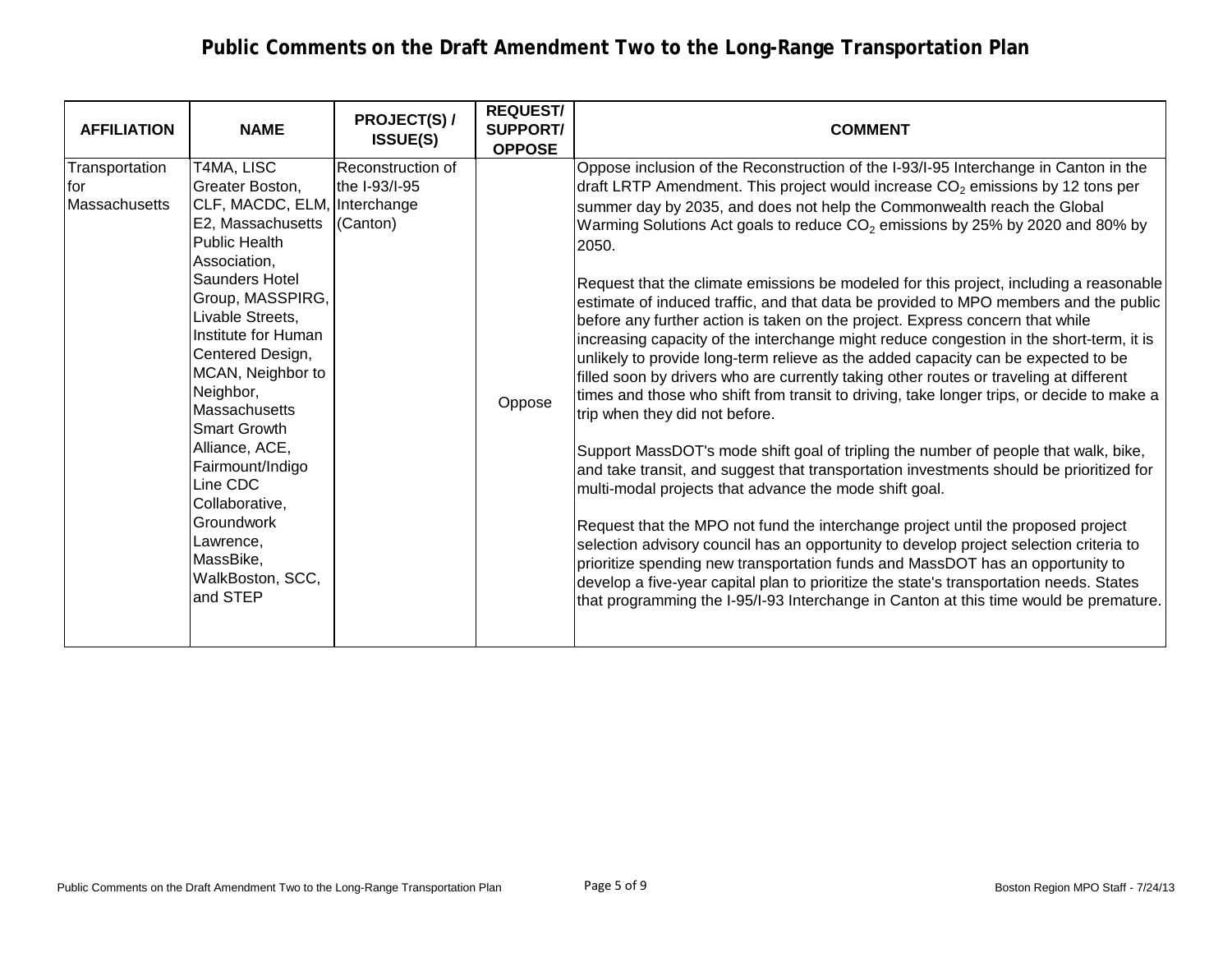| <b>AFFILIATION</b>                      | <b>NAME</b>                                                                                                                                                                                                                                                                                                                                                                                                                                                    | <b>PROJECT(S) /</b><br><b>ISSUE(S)</b>                        | <b>REQUEST/</b><br><b>SUPPORT/</b><br><b>OPPOSE</b> | <b>COMMENT</b>                                                                                                                                                                                                                                                                                                                                                                                                                                                                                                                                                                                                                                                                                                                                                                                                                                                                                                                                                                                                                                                                                                                                                                                                                                                                                                                                                                                                                                                                                                                                                                                                                                                                                                                        |
|-----------------------------------------|----------------------------------------------------------------------------------------------------------------------------------------------------------------------------------------------------------------------------------------------------------------------------------------------------------------------------------------------------------------------------------------------------------------------------------------------------------------|---------------------------------------------------------------|-----------------------------------------------------|---------------------------------------------------------------------------------------------------------------------------------------------------------------------------------------------------------------------------------------------------------------------------------------------------------------------------------------------------------------------------------------------------------------------------------------------------------------------------------------------------------------------------------------------------------------------------------------------------------------------------------------------------------------------------------------------------------------------------------------------------------------------------------------------------------------------------------------------------------------------------------------------------------------------------------------------------------------------------------------------------------------------------------------------------------------------------------------------------------------------------------------------------------------------------------------------------------------------------------------------------------------------------------------------------------------------------------------------------------------------------------------------------------------------------------------------------------------------------------------------------------------------------------------------------------------------------------------------------------------------------------------------------------------------------------------------------------------------------------------|
| Transportation<br>lfor<br>Massachusetts | T4MA, LISC<br>Greater Boston,<br>CLF, MACDC, ELM,<br>E2, Massachusetts<br><b>Public Health</b><br>Association,<br><b>Saunders Hotel</b><br>Group, MASSPIRG,<br>Livable Streets,<br>Institute for Human<br>Centered Design,<br>MCAN, Neighbor to<br>Neighbor,<br><b>Massachusetts</b><br><b>Smart Growth</b><br>Alliance, ACE,<br>Fairmount/Indigo<br>Line CDC<br>Collaborative,<br><b>Groundwork</b><br>Lawrence,<br>MassBike,<br>WalkBoston, SCC,<br>and STEP | Reconstruction of<br>the I-93/I-95<br>Interchange<br>(Canton) | Oppose                                              | Oppose inclusion of the Reconstruction of the I-93/I-95 Interchange in Canton in the<br>draft LRTP Amendment. This project would increase $CO2$ emissions by 12 tons per<br>summer day by 2035, and does not help the Commonwealth reach the Global<br>Warming Solutions Act goals to reduce CO <sub>2</sub> emissions by 25% by 2020 and 80% by<br>2050.<br>Request that the climate emissions be modeled for this project, including a reasonable<br>estimate of induced traffic, and that data be provided to MPO members and the public<br>before any further action is taken on the project. Express concern that while<br>increasing capacity of the interchange might reduce congestion in the short-term, it is<br>unlikely to provide long-term relieve as the added capacity can be expected to be<br>filled soon by drivers who are currently taking other routes or traveling at different<br>times and those who shift from transit to driving, take longer trips, or decide to make a<br>trip when they did not before.<br>Support MassDOT's mode shift goal of tripling the number of people that walk, bike,<br>and take transit, and suggest that transportation investments should be prioritized for<br>multi-modal projects that advance the mode shift goal.<br>Request that the MPO not fund the interchange project until the proposed project<br>selection advisory council has an opportunity to develop project selection criteria to<br>prioritize spending new transportation funds and MassDOT has an opportunity to<br>develop a five-year capital plan to prioritize the state's transportation needs. States<br>that programming the I-95/I-93 Interchange in Canton at this time would be premature. |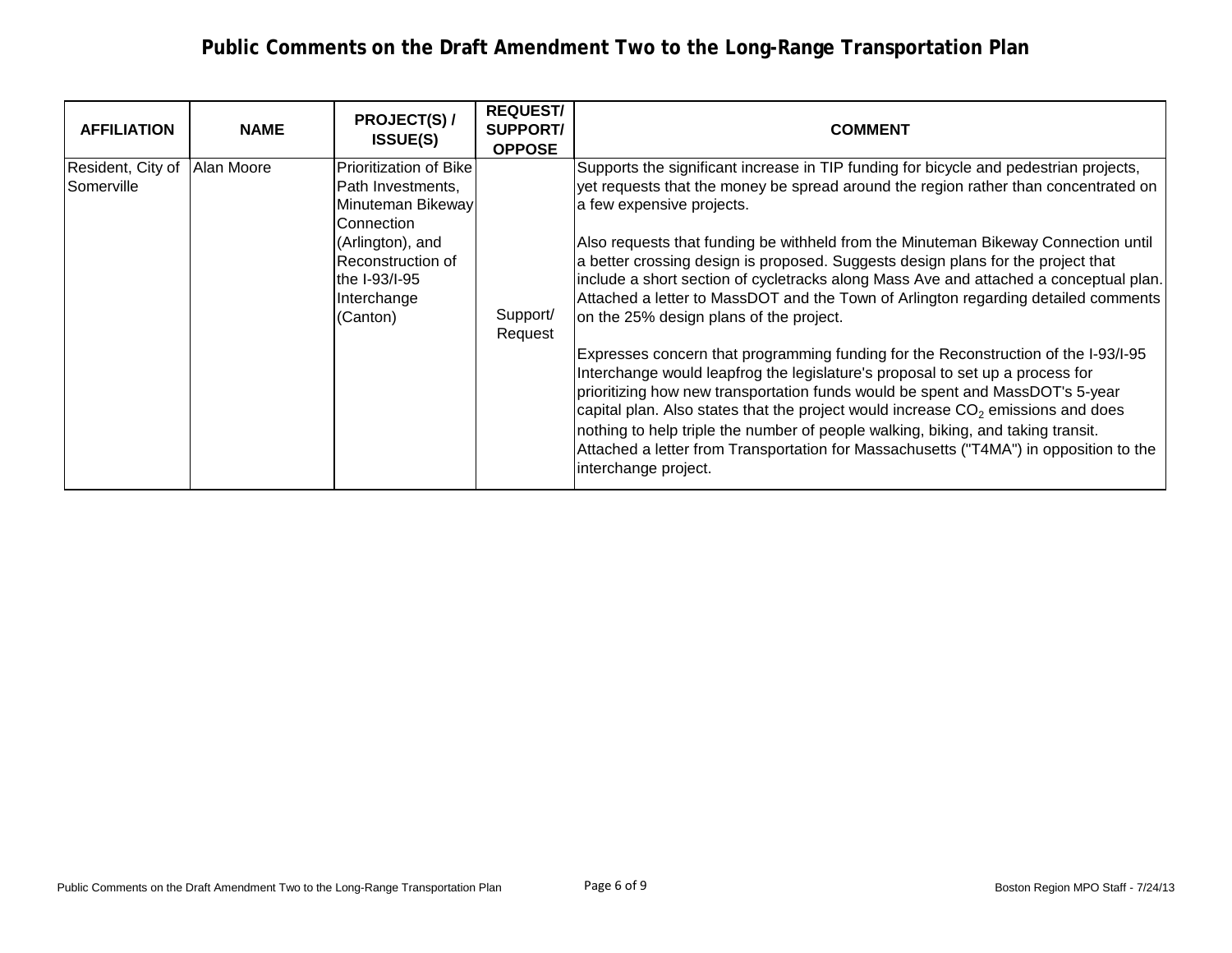| <b>AFFILIATION</b>              | <b>NAME</b> | <b>PROJECT(S) /</b><br><b>ISSUE(S)</b>                                                                                                                                     | <b>REQUEST/</b><br><b>SUPPORT/</b><br><b>OPPOSE</b> | <b>COMMENT</b>                                                                                                                                                                                                                                                                                                                                                                                                                                                                                                                                                                                                                                                                                                                                                                                                                                                                                                                                                                                                                                                                                                                                                   |
|---------------------------------|-------------|----------------------------------------------------------------------------------------------------------------------------------------------------------------------------|-----------------------------------------------------|------------------------------------------------------------------------------------------------------------------------------------------------------------------------------------------------------------------------------------------------------------------------------------------------------------------------------------------------------------------------------------------------------------------------------------------------------------------------------------------------------------------------------------------------------------------------------------------------------------------------------------------------------------------------------------------------------------------------------------------------------------------------------------------------------------------------------------------------------------------------------------------------------------------------------------------------------------------------------------------------------------------------------------------------------------------------------------------------------------------------------------------------------------------|
| Resident, City of<br>Somerville | Alan Moore  | <b>Prioritization of Bike</b><br>Path Investments,<br>Minuteman Bikeway<br>Connection<br>(Arlington), and<br>Reconstruction of<br>the I-93/I-95<br>Interchange<br>(Canton) | Support/<br>Request                                 | Supports the significant increase in TIP funding for bicycle and pedestrian projects,<br>yet requests that the money be spread around the region rather than concentrated on<br>a few expensive projects.<br>Also requests that funding be withheld from the Minuteman Bikeway Connection until<br>a better crossing design is proposed. Suggests design plans for the project that<br>include a short section of cycletracks along Mass Ave and attached a conceptual plan.<br>Attached a letter to MassDOT and the Town of Arlington regarding detailed comments<br>on the 25% design plans of the project.<br>Expresses concern that programming funding for the Reconstruction of the I-93/I-95<br>Interchange would leapfrog the legislature's proposal to set up a process for<br>prioritizing how new transportation funds would be spent and MassDOT's 5-year<br>capital plan. Also states that the project would increase $CO2$ emissions and does<br>nothing to help triple the number of people walking, biking, and taking transit.<br>Attached a letter from Transportation for Massachusetts ("T4MA") in opposition to the<br>interchange project. |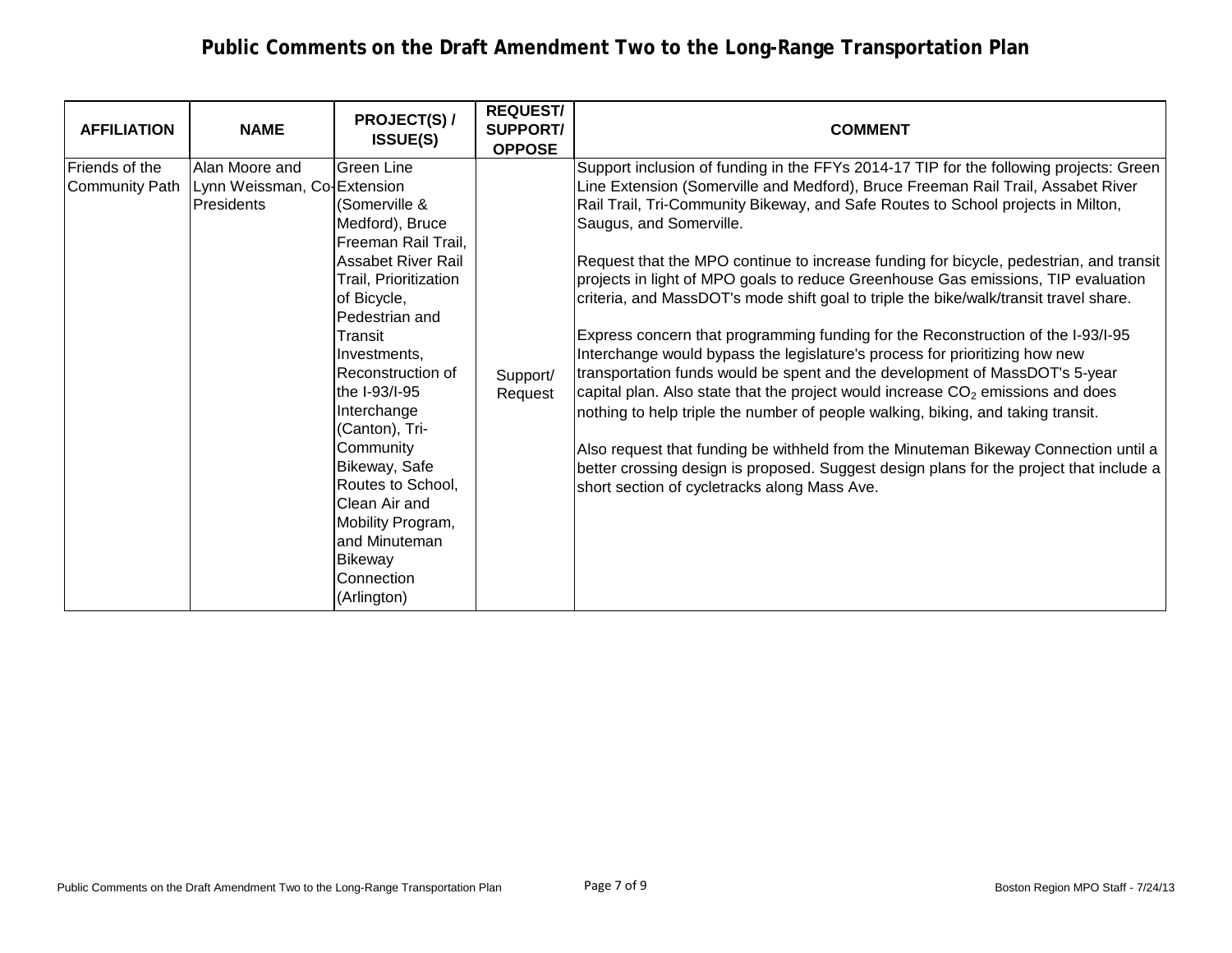| <b>AFFILIATION</b>                              | <b>NAME</b>                                                 | <b>PROJECT(S) /</b><br><b>ISSUE(S)</b>                                                                                                                                                                                                                                                                                                                                                                                                | <b>REQUEST/</b><br><b>SUPPORT/</b><br><b>OPPOSE</b> | <b>COMMENT</b>                                                                                                                                                                                                                                                                                                                                                                                                                                                                                                                                                                                                                                                                                                                                                                                                                                                                                                                                                                                                                                                                                                                                                                                                                 |
|-------------------------------------------------|-------------------------------------------------------------|---------------------------------------------------------------------------------------------------------------------------------------------------------------------------------------------------------------------------------------------------------------------------------------------------------------------------------------------------------------------------------------------------------------------------------------|-----------------------------------------------------|--------------------------------------------------------------------------------------------------------------------------------------------------------------------------------------------------------------------------------------------------------------------------------------------------------------------------------------------------------------------------------------------------------------------------------------------------------------------------------------------------------------------------------------------------------------------------------------------------------------------------------------------------------------------------------------------------------------------------------------------------------------------------------------------------------------------------------------------------------------------------------------------------------------------------------------------------------------------------------------------------------------------------------------------------------------------------------------------------------------------------------------------------------------------------------------------------------------------------------|
| <b>IFriends of the</b><br><b>Community Path</b> | Alan Moore and<br>Lynn Weissman, Co-Extension<br>Presidents | <b>Green Line</b><br>(Somerville &<br>Medford), Bruce<br>Freeman Rail Trail,<br><b>Assabet River Rail</b><br>Trail, Prioritization<br>of Bicycle,<br>Pedestrian and<br>Transit<br>Investments,<br>Reconstruction of<br>the I-93/I-95<br>Interchange<br>(Canton), Tri-<br>Community<br><b>Bikeway, Safe</b><br>Routes to School,<br>Clean Air and<br>Mobility Program,<br>and Minuteman<br><b>Bikeway</b><br>Connection<br>(Arlington) | Support/<br>Request                                 | Support inclusion of funding in the FFYs 2014-17 TIP for the following projects: Green<br>Line Extension (Somerville and Medford), Bruce Freeman Rail Trail, Assabet River<br>Rail Trail, Tri-Community Bikeway, and Safe Routes to School projects in Milton,<br>Saugus, and Somerville.<br>Request that the MPO continue to increase funding for bicycle, pedestrian, and transit<br>projects in light of MPO goals to reduce Greenhouse Gas emissions, TIP evaluation<br>criteria, and MassDOT's mode shift goal to triple the bike/walk/transit travel share.<br>Express concern that programming funding for the Reconstruction of the I-93/I-95<br>Interchange would bypass the legislature's process for prioritizing how new<br>transportation funds would be spent and the development of MassDOT's 5-year<br>capital plan. Also state that the project would increase $CO2$ emissions and does<br>nothing to help triple the number of people walking, biking, and taking transit.<br>Also request that funding be withheld from the Minuteman Bikeway Connection until a<br>better crossing design is proposed. Suggest design plans for the project that include a<br>short section of cycletracks along Mass Ave. |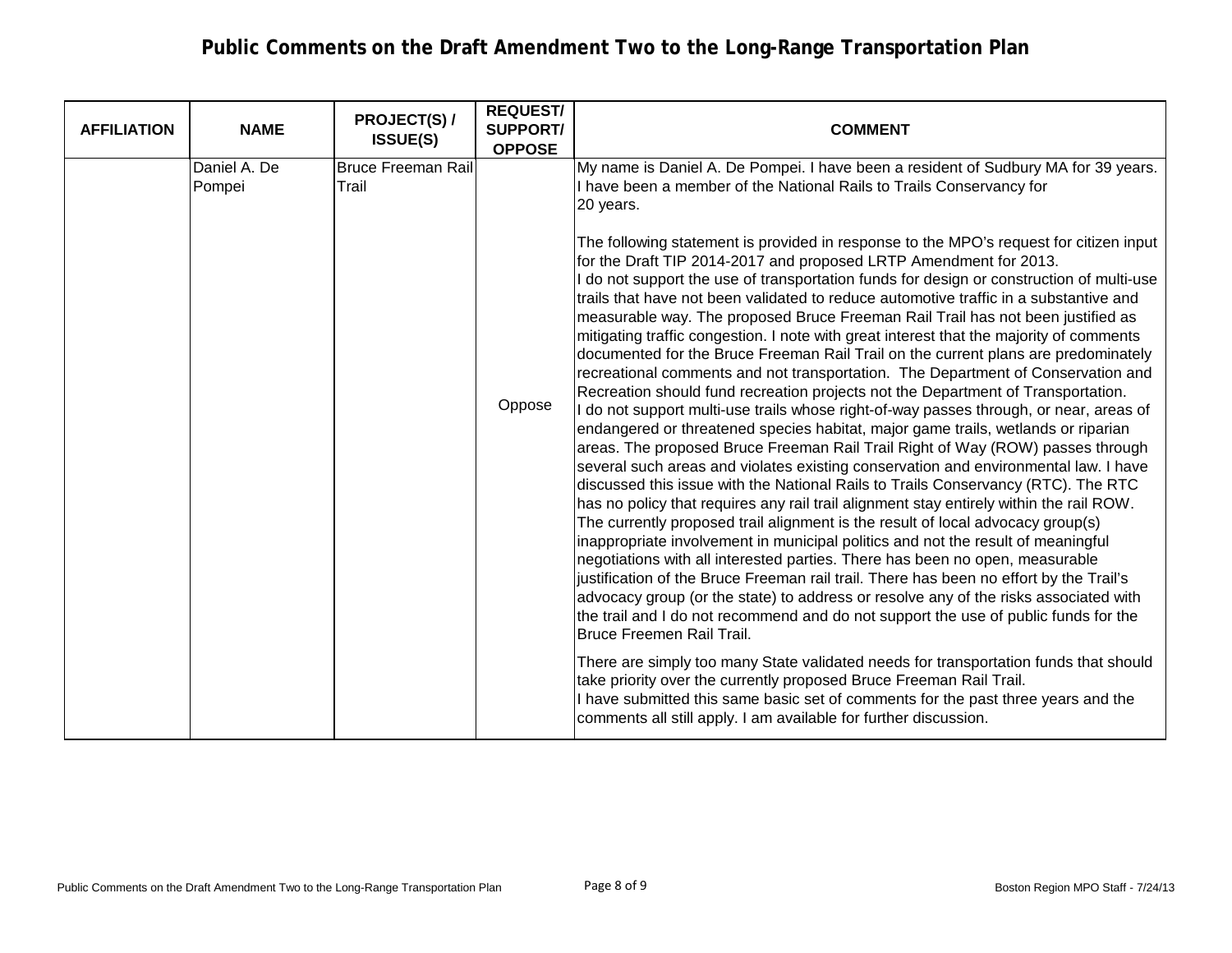| <b>AFFILIATION</b> | <b>NAME</b>            | <b>PROJECT(S) /</b><br><b>ISSUE(S)</b> | <b>REQUEST/</b><br><b>SUPPORT/</b><br><b>OPPOSE</b> | <b>COMMENT</b>                                                                                                                                                                                                                                                                                                                                                                                                                                                                                                                                                                                                                                                                                                                                                                                                                                                                                                                                                                                                                                                                                                                                                                                                                                                                                                                                                                                                                                                                                                                                                                                                                                                                                                                                                                                                                                                                                                                                                                                                                                                                                                                                                                                                                   |
|--------------------|------------------------|----------------------------------------|-----------------------------------------------------|----------------------------------------------------------------------------------------------------------------------------------------------------------------------------------------------------------------------------------------------------------------------------------------------------------------------------------------------------------------------------------------------------------------------------------------------------------------------------------------------------------------------------------------------------------------------------------------------------------------------------------------------------------------------------------------------------------------------------------------------------------------------------------------------------------------------------------------------------------------------------------------------------------------------------------------------------------------------------------------------------------------------------------------------------------------------------------------------------------------------------------------------------------------------------------------------------------------------------------------------------------------------------------------------------------------------------------------------------------------------------------------------------------------------------------------------------------------------------------------------------------------------------------------------------------------------------------------------------------------------------------------------------------------------------------------------------------------------------------------------------------------------------------------------------------------------------------------------------------------------------------------------------------------------------------------------------------------------------------------------------------------------------------------------------------------------------------------------------------------------------------------------------------------------------------------------------------------------------------|
|                    | Daniel A. De<br>Pompei | <b>Bruce Freeman Rail</b><br>Trail     |                                                     | My name is Daniel A. De Pompei. I have been a resident of Sudbury MA for 39 years.<br>I have been a member of the National Rails to Trails Conservancy for<br>20 years.                                                                                                                                                                                                                                                                                                                                                                                                                                                                                                                                                                                                                                                                                                                                                                                                                                                                                                                                                                                                                                                                                                                                                                                                                                                                                                                                                                                                                                                                                                                                                                                                                                                                                                                                                                                                                                                                                                                                                                                                                                                          |
|                    |                        |                                        | Oppose                                              | The following statement is provided in response to the MPO's request for citizen input<br>for the Draft TIP 2014-2017 and proposed LRTP Amendment for 2013.<br>I do not support the use of transportation funds for design or construction of multi-use<br>trails that have not been validated to reduce automotive traffic in a substantive and<br>measurable way. The proposed Bruce Freeman Rail Trail has not been justified as<br>mitigating traffic congestion. I note with great interest that the majority of comments<br>documented for the Bruce Freeman Rail Trail on the current plans are predominately<br>recreational comments and not transportation. The Department of Conservation and<br>Recreation should fund recreation projects not the Department of Transportation.<br>I do not support multi-use trails whose right-of-way passes through, or near, areas of<br>endangered or threatened species habitat, major game trails, wetlands or riparian<br>areas. The proposed Bruce Freeman Rail Trail Right of Way (ROW) passes through<br>several such areas and violates existing conservation and environmental law. I have<br>discussed this issue with the National Rails to Trails Conservancy (RTC). The RTC<br>has no policy that requires any rail trail alignment stay entirely within the rail ROW.<br>The currently proposed trail alignment is the result of local advocacy group(s)<br>inappropriate involvement in municipal politics and not the result of meaningful<br>negotiations with all interested parties. There has been no open, measurable<br>justification of the Bruce Freeman rail trail. There has been no effort by the Trail's<br>advocacy group (or the state) to address or resolve any of the risks associated with<br>the trail and I do not recommend and do not support the use of public funds for the<br><b>Bruce Freemen Rail Trail.</b><br>There are simply too many State validated needs for transportation funds that should<br>take priority over the currently proposed Bruce Freeman Rail Trail.<br>I have submitted this same basic set of comments for the past three years and the<br>comments all still apply. I am available for further discussion. |